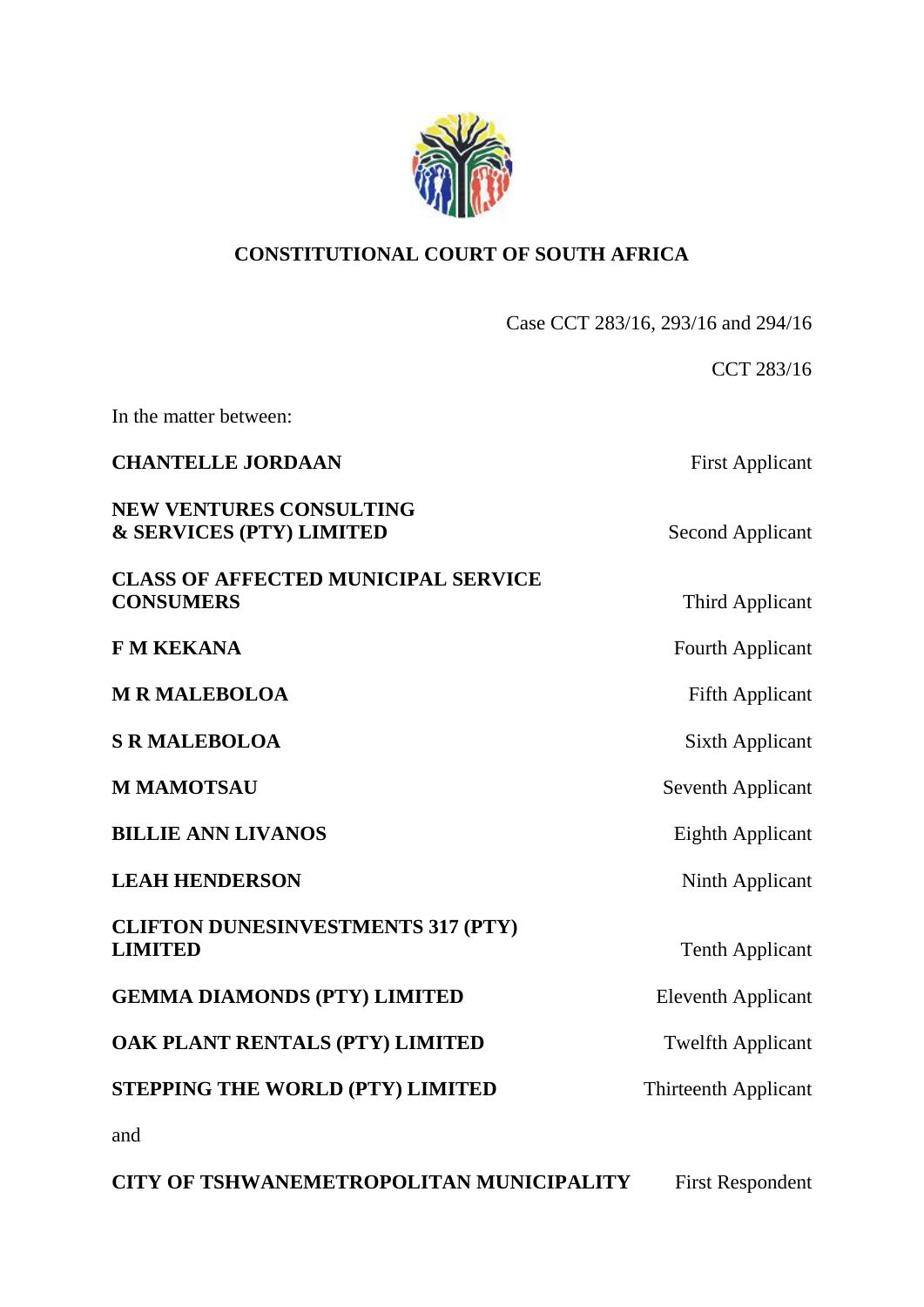

# **CONSTITUTIONAL COURT OF SOUTH AFRICA**

Case CCT 283/16, 293/16 and 294/16

CCT 283/16 In the matter between: **CHANTELLE JORDAAN** First Applicant **NEW VENTURES CONSULTING & SERVICES (PTY) LIMITED** Second Applicant **CLASS OF AFFECTED MUNICIPAL SERVICE CONSUMERS** Third Applicant **F M KEKANA** Fourth Applicant **M R MALEBOLOA** Fifth Applicant **S R MALEBOLOA** Sixth Applicant **M MAMOTSAU** Seventh Applicant **BILLIE ANN LIVANOS** Eighth Applicant **LEAH HENDERSON** Ninth Applicant **CLIFTON DUNESINVESTMENTS 317 (PTY) LIMITED** Tenth Applicant **GEMMA DIAMONDS (PTY) LIMITED** Eleventh Applicant **OAK PLANT RENTALS (PTY) LIMITED** Twelfth Applicant **STEPPING THE WORLD (PTY) LIMITED** Thirteenth Applicant and

**CITY OF TSHWANEMETROPOLITAN MUNICIPALITY** First Respondent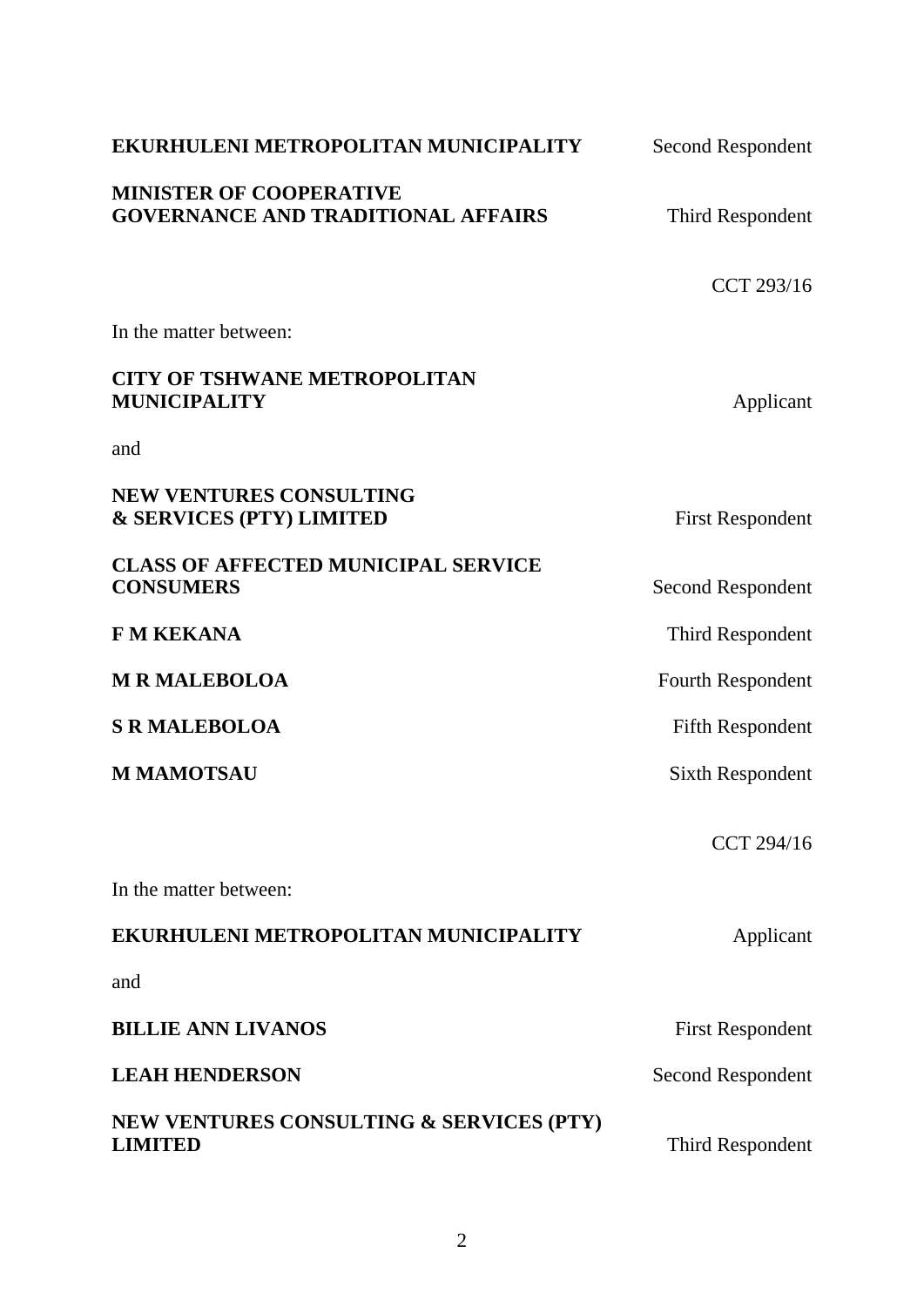| EKURHULENI METROPOLITAN MUNICIPALITY                                        | <b>Second Respondent</b> |
|-----------------------------------------------------------------------------|--------------------------|
| <b>MINISTER OF COOPERATIVE</b><br><b>GOVERNANCE AND TRADITIONAL AFFAIRS</b> | Third Respondent         |
|                                                                             | CCT 293/16               |
| In the matter between:                                                      |                          |
| <b>CITY OF TSHWANE METROPOLITAN</b><br>MUNICIPALITY                         | Applicant                |
| and                                                                         |                          |
| NEW VENTURES CONSULTING<br><b>&amp; SERVICES (PTY) LIMITED</b>              | <b>First Respondent</b>  |
| <b>CLASS OF AFFECTED MUNICIPAL SERVICE</b><br><b>CONSUMERS</b>              | Second Respondent        |
| <b>F M KEKANA</b>                                                           | Third Respondent         |
| <b>M R MALEBOLOA</b>                                                        | Fourth Respondent        |
| <b>S R MALEBOLOA</b>                                                        | <b>Fifth Respondent</b>  |
| <b>M MAMOTSAU</b>                                                           | Sixth Respondent         |
|                                                                             | CCT 294/16               |
| In the matter between:                                                      |                          |
| EKURHULENI METROPOLITAN MUNICIPALITY                                        | Applicant                |
| and                                                                         |                          |
| <b>BILLIE ANN LIVANOS</b>                                                   | <b>First Respondent</b>  |
| <b>LEAH HENDERSON</b>                                                       | <b>Second Respondent</b> |
| NEW VENTURES CONSULTING & SERVICES (PTY)<br><b>LIMITED</b>                  | Third Respondent         |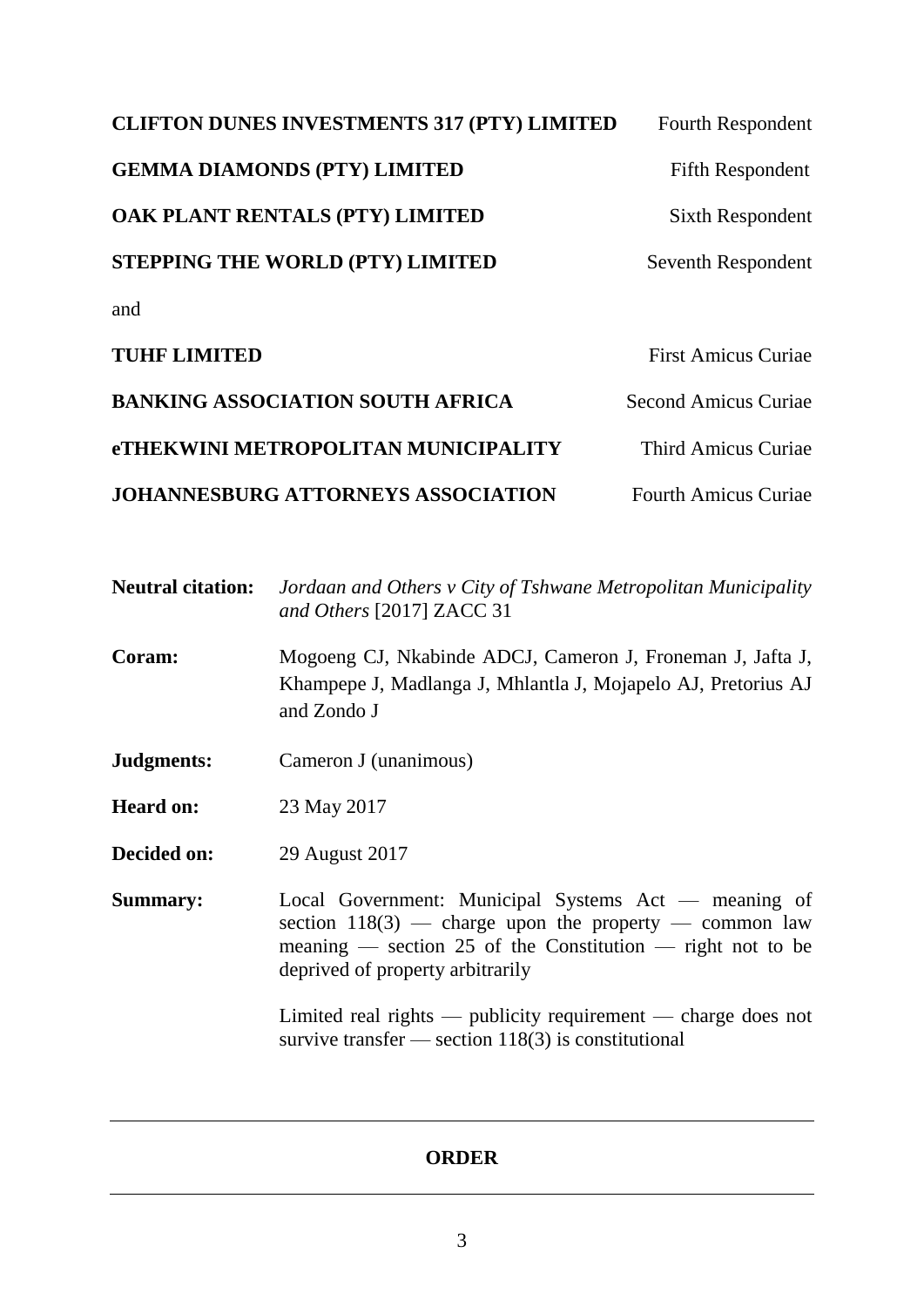| <b>CLIFTON DUNES INVESTMENTS 317 (PTY) LIMITED</b> | <b>Fourth Respondent</b>    |
|----------------------------------------------------|-----------------------------|
| <b>GEMMA DIAMONDS (PTY) LIMITED</b>                | <b>Fifth Respondent</b>     |
| OAK PLANT RENTALS (PTY) LIMITED                    | Sixth Respondent            |
| <b>STEPPING THE WORLD (PTY) LIMITED</b>            | Seventh Respondent          |
| and                                                |                             |
| <b>TUHF LIMITED</b>                                | <b>First Amicus Curiae</b>  |
| <b>BANKING ASSOCIATION SOUTH AFRICA</b>            | <b>Second Amicus Curiae</b> |
| <b>eTHEKWINI METROPOLITAN MUNICIPALITY</b>         | <b>Third Amicus Curiae</b>  |
| <b>JOHANNESBURG ATTORNEYS ASSOCIATION</b>          | <b>Fourth Amicus Curiae</b> |

| <b>Neutral citation:</b> | Jordaan and Others v City of Tshwane Metropolitan Municipality<br>and Others [2017] ZACC 31                                                |
|--------------------------|--------------------------------------------------------------------------------------------------------------------------------------------|
| <b>Coram:</b>            | Mogoeng CJ, Nkabinde ADCJ, Cameron J, Froneman J, Jafta J,<br>Khampepe J, Madlanga J, Mhlantla J, Mojapelo AJ, Pretorius AJ<br>and Zondo J |
| .Indoments:              | Cameron I (unanimous)                                                                                                                      |

**Judgments:** Cameron J (unanimous)

**Heard on:** 23 May 2017

**Decided on:** 29 August 2017

**Summary:** Local Government: Municipal Systems Act — meaning of section  $118(3)$  — charge upon the property — common law meaning — section 25 of the Constitution — right not to be deprived of property arbitrarily

> Limited real rights — publicity requirement — charge does not survive transfer — section 118(3) is constitutional

## **ORDER**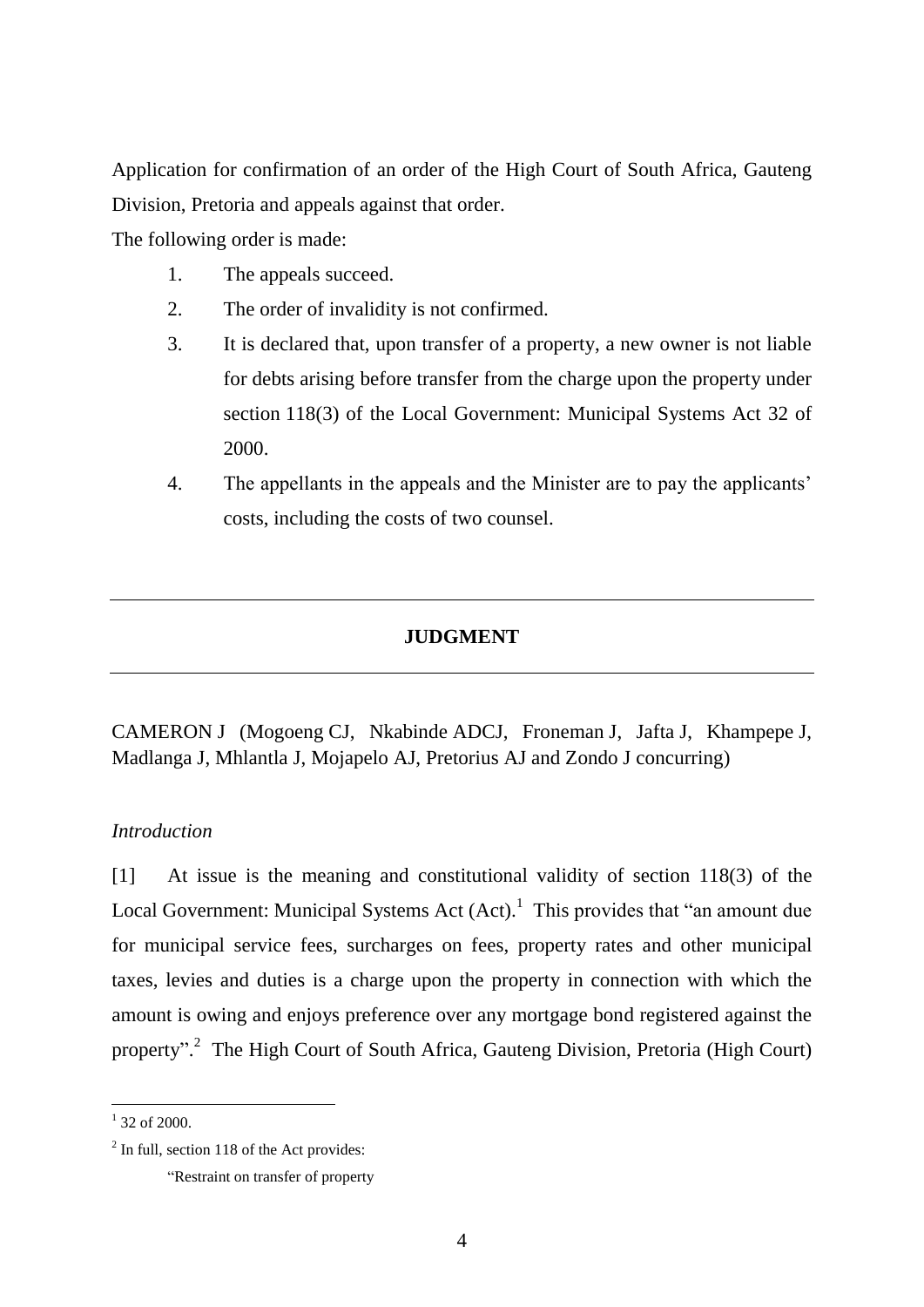Application for confirmation of an order of the High Court of South Africa, Gauteng Division, Pretoria and appeals against that order.

The following order is made:

- 1. The appeals succeed.
- 2. The order of invalidity is not confirmed.
- 3. It is declared that, upon transfer of a property, a new owner is not liable for debts arising before transfer from the charge upon the property under section 118(3) of the Local Government: Municipal Systems Act 32 of 2000.
- 4. The appellants in the appeals and the Minister are to pay the applicants' costs, including the costs of two counsel.

## **JUDGMENT**

CAMERON J (Mogoeng CJ, Nkabinde ADCJ, Froneman J, Jafta J, Khampepe J, Madlanga J, Mhlantla J, Mojapelo AJ, Pretorius AJ and Zondo J concurring)

## *Introduction*

[1] At issue is the meaning and constitutional validity of section 118(3) of the Local Government: Municipal Systems Act  $(Act)<sup>1</sup>$ . This provides that "an amount due for municipal service fees, surcharges on fees, property rates and other municipal taxes, levies and duties is a charge upon the property in connection with which the amount is owing and enjoys preference over any mortgage bond registered against the property".<sup>2</sup> The High Court of South Africa, Gauteng Division, Pretoria (High Court)

 $\frac{1}{1}$  32 of 2000.

 $2$  In full, section 118 of the Act provides: "Restraint on transfer of property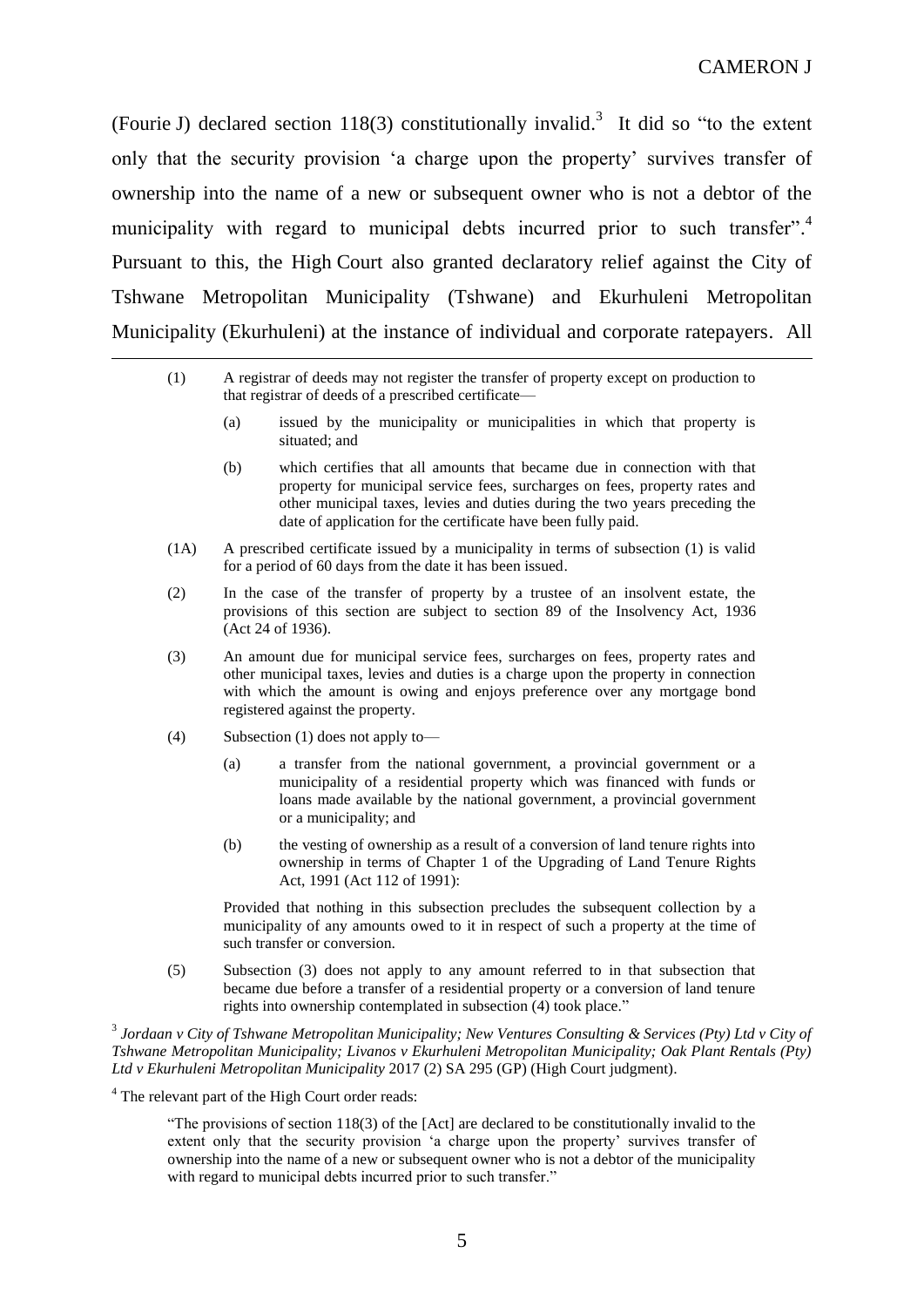(Fourie J) declared section 118(3) constitutionally invalid.<sup>3</sup> It did so "to the extent only that the security provision 'a charge upon the property' survives transfer of ownership into the name of a new or subsequent owner who is not a debtor of the municipality with regard to municipal debts incurred prior to such transfer".<sup>4</sup> Pursuant to this, the High Court also granted declaratory relief against the City of Tshwane Metropolitan Municipality (Tshwane) and Ekurhuleni Metropolitan Municipality (Ekurhuleni) at the instance of individual and corporate ratepayers. All

| (1) | A registrar of deeds may not register the transfer of property except on production to |
|-----|----------------------------------------------------------------------------------------|
|     | that registrar of deeds of a prescribed certificate—                                   |

- (a) issued by the municipality or municipalities in which that property is situated; and
- (b) which certifies that all amounts that became due in connection with that property for municipal service fees, surcharges on fees, property rates and other municipal taxes, levies and duties during the two years preceding the date of application for the certificate have been fully paid.
- (1A) A prescribed certificate issued by a municipality in terms of subsection (1) is valid for a period of 60 days from the date it has been issued.
- (2) In the case of the transfer of property by a trustee of an insolvent estate, the provisions of this section are subject to [section 89](http://discover.sabinet.co.za/webx/access/netlaw/24_1936_insolvency_act.htm#section89) of the Insolvency Act, 1936 (Act 24 of 1936).
- (3) An amount due for municipal service fees, surcharges on fees, property rates and other municipal taxes, levies and duties is a charge upon the property in connection with which the amount is owing and enjoys preference over any mortgage bond registered against the property.
- (4) Subsection (1) does not apply to—

 $\overline{a}$ 

- (a) a transfer from the national government, a provincial government or a municipality of a residential property which was financed with funds or loans made available by the national government, a provincial government or a municipality; and
- (b) the vesting of ownership as a result of a conversion of land tenure rights into ownership in terms of [Chapter 1](http://discover.sabinet.co.za/webx/access/netlaw/112_1991_upgrading_of_land_tenure_rights_act.htm#chapter1) of the Upgrading of Land Tenure Rights Act, 1991 (Act 112 of 1991):

Provided that nothing in this subsection precludes the subsequent collection by a municipality of any amounts owed to it in respect of such a property at the time of such transfer or conversion.

(5) Subsection (3) does not apply to any amount referred to in that subsection that became due before a transfer of a residential property or a conversion of land tenure rights into ownership contemplated in subsection (4) took place."

<sup>3</sup> Jordaan v City of Tshwane Metropolitan Municipality; New Ventures Consulting & Services (Pty) Ltd v City of *Tshwane Metropolitan Municipality; Livanos v Ekurhuleni Metropolitan Municipality; Oak Plant Rentals (Pty) Ltd v Ekurhuleni Metropolitan Municipality* 2017 (2) SA 295 (GP) (High Court judgment).

<sup>4</sup> The relevant part of the High Court order reads:

"The provisions of section 118(3) of the [Act] are declared to be constitutionally invalid to the extent only that the security provision 'a charge upon the property' survives transfer of ownership into the name of a new or subsequent owner who is not a debtor of the municipality with regard to municipal debts incurred prior to such transfer."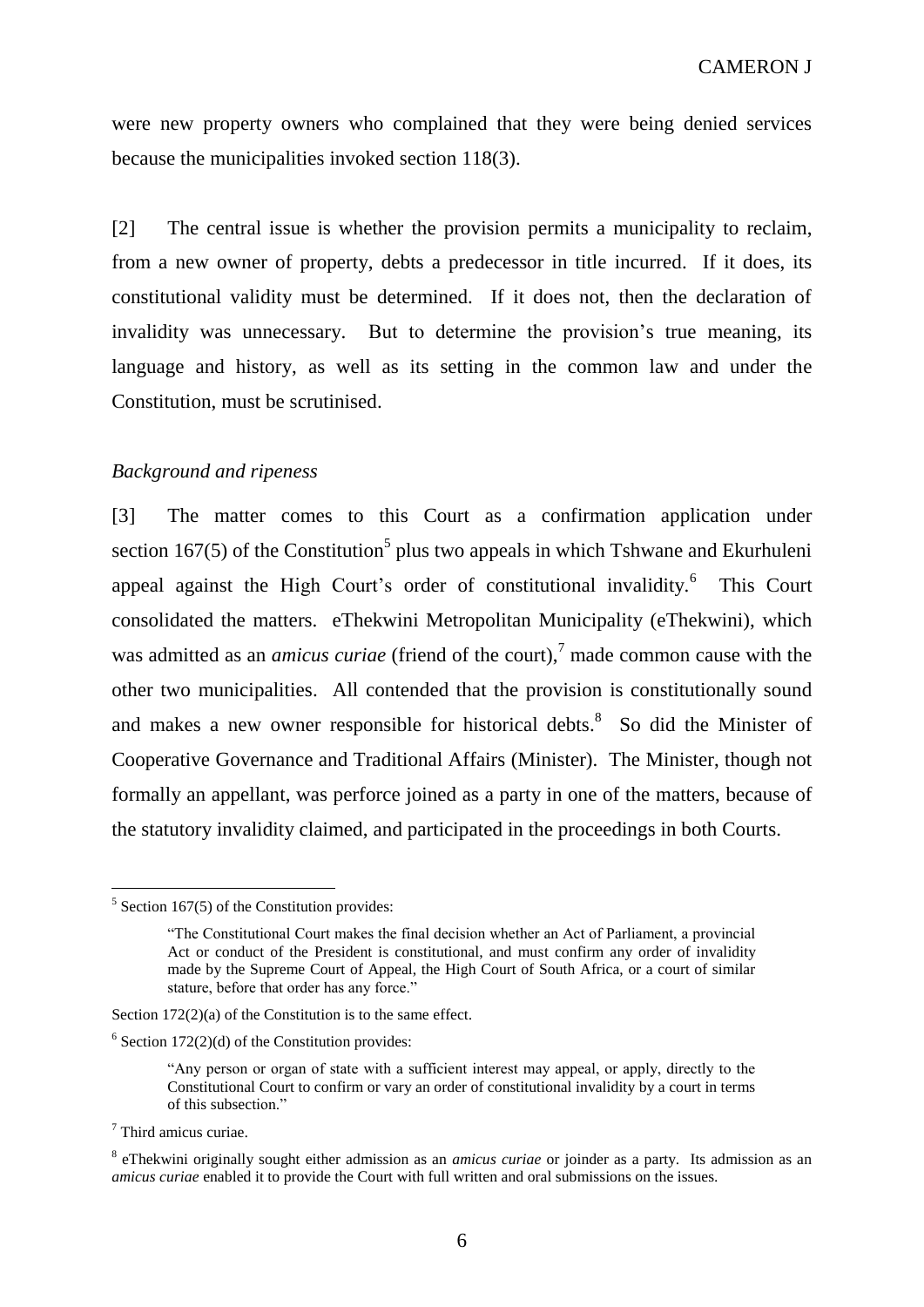were new property owners who complained that they were being denied services because the municipalities invoked section 118(3).

[2] The central issue is whether the provision permits a municipality to reclaim, from a new owner of property, debts a predecessor in title incurred. If it does, its constitutional validity must be determined. If it does not, then the declaration of invalidity was unnecessary. But to determine the provision's true meaning, its language and history, as well as its setting in the common law and under the Constitution, must be scrutinised.

### *Background and ripeness*

[3] The matter comes to this Court as a confirmation application under section  $167(5)$  of the Constitution<sup>5</sup> plus two appeals in which Tshwane and Ekurhuleni appeal against the High Court's order of constitutional invalidity.<sup>6</sup> This Court consolidated the matters. eThekwini Metropolitan Municipality (eThekwini), which was admitted as an *amicus curiae* (friend of the court), <sup>7</sup> made common cause with the other two municipalities. All contended that the provision is constitutionally sound and makes a new owner responsible for historical debts.<sup>8</sup> So did the Minister of Cooperative Governance and Traditional Affairs (Minister). The Minister, though not formally an appellant, was perforce joined as a party in one of the matters, because of the statutory invalidity claimed, and participated in the proceedings in both Courts.

<sup>7</sup> Third amicus curiae.

 $5$  Section 167(5) of the Constitution provides:

<sup>&</sup>quot;The Constitutional Court makes the final decision whether an Act of Parliament, a provincial Act or conduct of the President is constitutional, and must confirm any order of invalidity made by the Supreme Court of Appeal, the High Court of South Africa, or a court of similar stature, before that order has any force."

Section 172(2)(a) of the Constitution is to the same effect.

 $6$  Section 172(2)(d) of the Constitution provides:

<sup>&</sup>quot;Any person or organ of state with a sufficient interest may appeal, or apply, directly to the Constitutional Court to confirm or vary an order of constitutional invalidity by a court in terms of this subsection."

<sup>8</sup> eThekwini originally sought either admission as an *amicus curiae* or joinder as a party. Its admission as an *amicus curiae* enabled it to provide the Court with full written and oral submissions on the issues.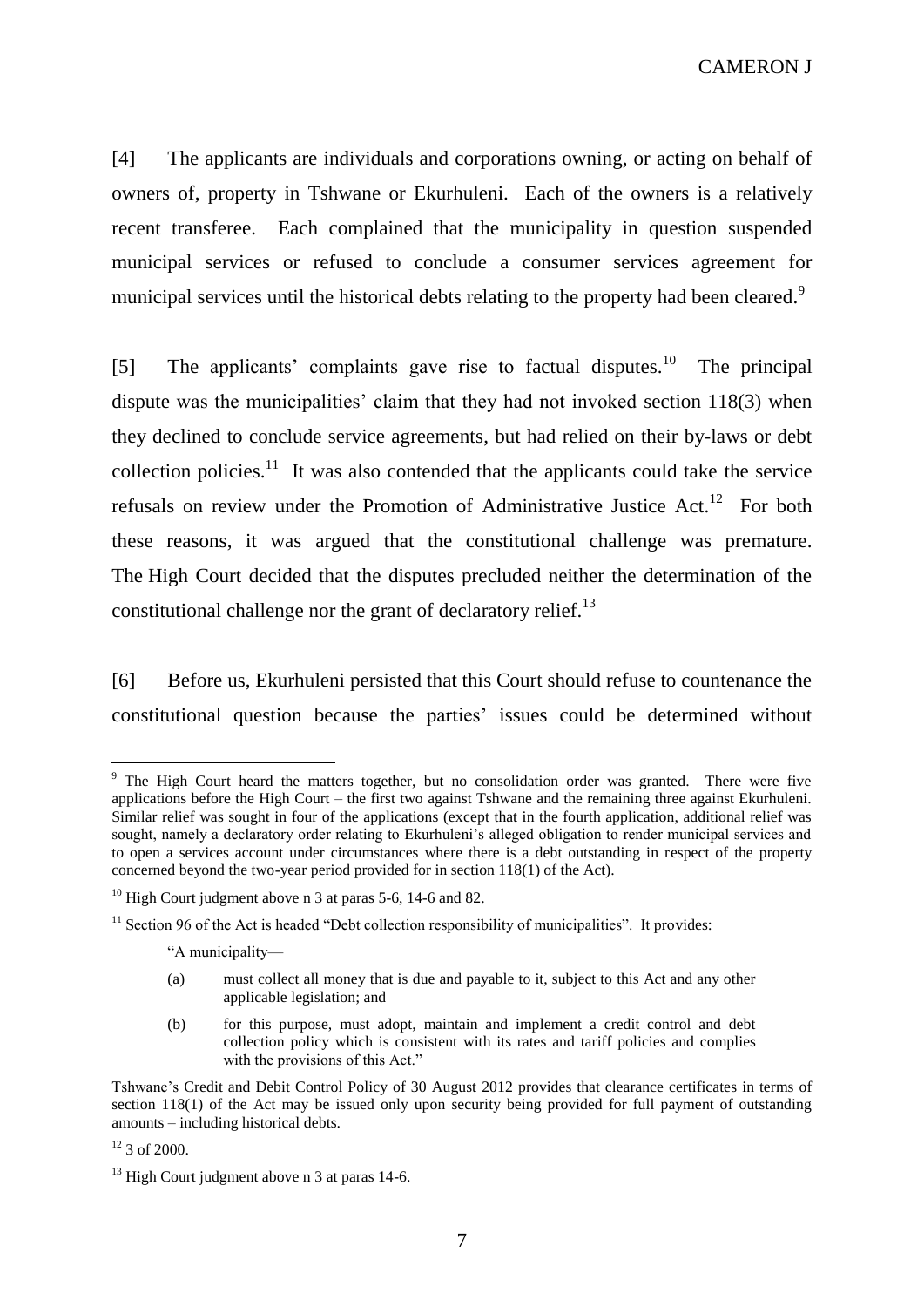[4] The applicants are individuals and corporations owning, or acting on behalf of owners of, property in Tshwane or Ekurhuleni. Each of the owners is a relatively recent transferee. Each complained that the municipality in question suspended municipal services or refused to conclude a consumer services agreement for municipal services until the historical debts relating to the property had been cleared.<sup>9</sup>

[5] The applicants' complaints gave rise to factual disputes.<sup>10</sup> The principal dispute was the municipalities' claim that they had not invoked section 118(3) when they declined to conclude service agreements, but had relied on their by-laws or debt collection policies. $11$  It was also contended that the applicants could take the service refusals on review under the Promotion of Administrative Justice Act.<sup>12</sup> For both these reasons, it was argued that the constitutional challenge was premature. The High Court decided that the disputes precluded neither the determination of the constitutional challenge nor the grant of declaratory relief.<sup>13</sup>

[6] Before us, Ekurhuleni persisted that this Court should refuse to countenance the constitutional question because the parties' issues could be determined without

 $12$  3 of 2000.

<sup>&</sup>lt;sup>9</sup> The High Court heard the matters together, but no consolidation order was granted. There were five applications before the High Court – the first two against Tshwane and the remaining three against Ekurhuleni. Similar relief was sought in four of the applications (except that in the fourth application, additional relief was sought, namely a declaratory order relating to Ekurhuleni's alleged obligation to render municipal services and to open a services account under circumstances where there is a debt outstanding in respect of the property concerned beyond the two-year period provided for in section 118(1) of the Act).

<sup>&</sup>lt;sup>10</sup> High Court judgment above n 3 at paras 5-6, 14-6 and 82.

 $11$  Section 96 of the Act is headed "Debt collection responsibility of municipalities". It provides:

<sup>&</sup>quot;A municipality—

<sup>(</sup>a) must collect all money that is due and payable to it, subject to this Act and any other applicable legislation; and

<sup>(</sup>b) for this purpose, must adopt, maintain and implement a credit control and debt collection policy which is consistent with its rates and tariff policies and complies with the provisions of this Act."

Tshwane's Credit and Debit Control Policy of 30 August 2012 provides that clearance certificates in terms of section 118(1) of the Act may be issued only upon security being provided for full payment of outstanding amounts – including historical debts.

 $13$  High Court judgment above n 3 at paras 14-6.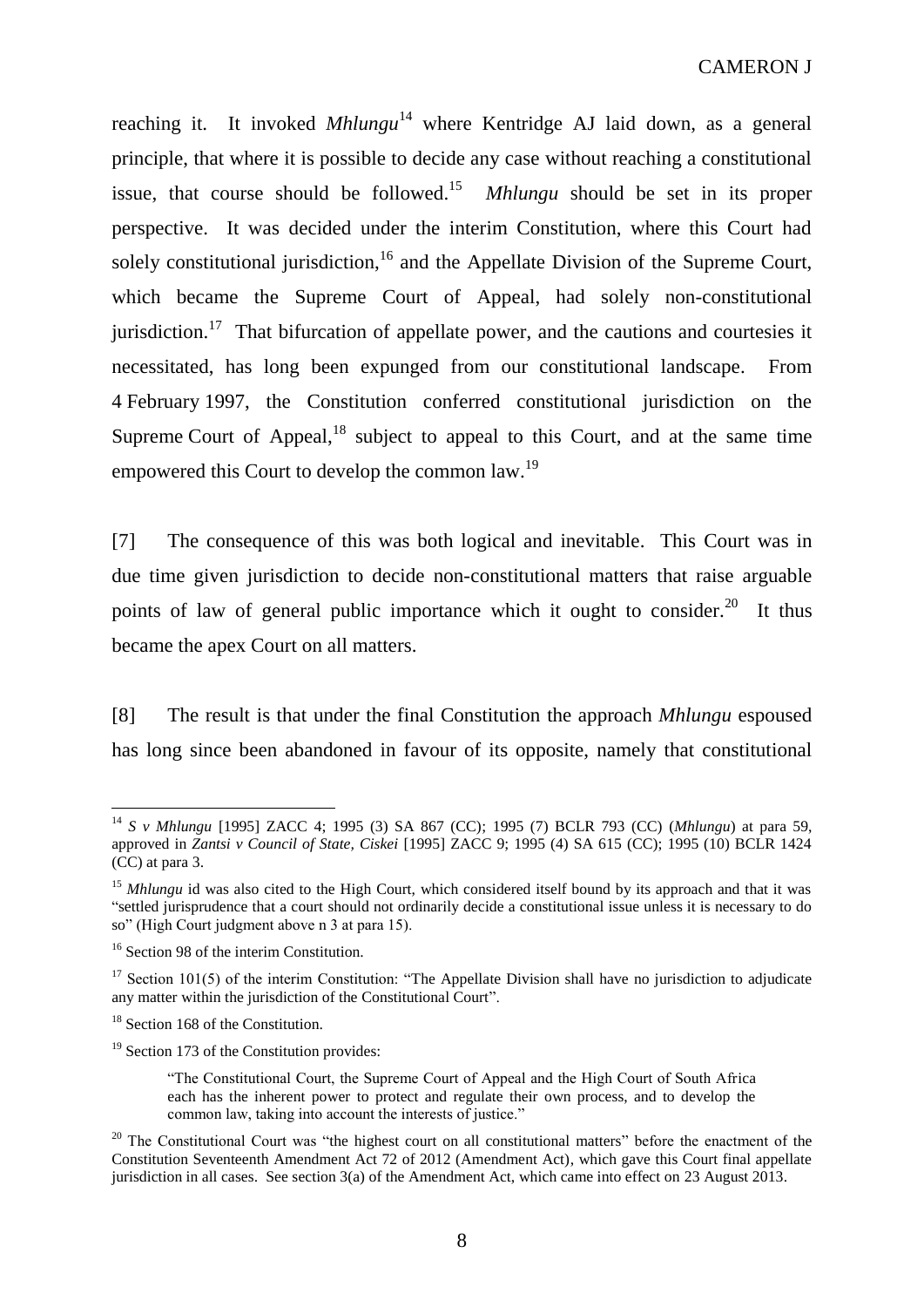reaching it. It invoked *Mhlungu*<sup>14</sup> where Kentridge AJ laid down, as a general principle, that where it is possible to decide any case without reaching a constitutional issue, that course should be followed. 15 *Mhlungu* should be set in its proper perspective. It was decided under the interim Constitution, where this Court had solely constitutional jurisdiction,<sup>16</sup> and the Appellate Division of the Supreme Court, which became the Supreme Court of Appeal, had solely non-constitutional jurisdiction.<sup>17</sup> That bifurcation of appellate power, and the cautions and courtesies it necessitated, has long been expunged from our constitutional landscape. From 4 February 1997, the Constitution conferred constitutional jurisdiction on the Supreme Court of Appeal, $18$  subject to appeal to this Court, and at the same time empowered this Court to develop the common law.<sup>19</sup>

[7] The consequence of this was both logical and inevitable. This Court was in due time given jurisdiction to decide non-constitutional matters that raise arguable points of law of general public importance which it ought to consider.<sup>20</sup> It thus became the apex Court on all matters.

[8] The result is that under the final Constitution the approach *Mhlungu* espoused has long since been abandoned in favour of its opposite, namely that constitutional

<sup>14</sup> *S v Mhlungu* [1995] ZACC 4; 1995 (3) SA 867 (CC); 1995 (7) BCLR 793 (CC) (*Mhlungu*) at para 59, approved in *Zantsi v Council of State, Ciskei* [1995] ZACC 9; 1995 (4) SA 615 (CC); 1995 (10) BCLR 1424 (CC) at para 3.

<sup>&</sup>lt;sup>15</sup> *Mhlungu* id was also cited to the High Court, which considered itself bound by its approach and that it was "settled jurisprudence that a court should not ordinarily decide a constitutional issue unless it is necessary to do so" (High Court judgment above n 3 at para 15).

<sup>&</sup>lt;sup>16</sup> Section 98 of the interim Constitution.

<sup>&</sup>lt;sup>17</sup> Section 101(5) of the interim Constitution: "The Appellate Division shall have no jurisdiction to adjudicate any matter within the jurisdiction of the Constitutional Court".

<sup>&</sup>lt;sup>18</sup> Section 168 of the Constitution.

 $19$  Section 173 of the Constitution provides:

<sup>&</sup>quot;The Constitutional Court, the Supreme Court of Appeal and the High Court of South Africa each has the inherent power to protect and regulate their own process, and to develop the common law, taking into account the interests of justice."

<sup>&</sup>lt;sup>20</sup> The Constitutional Court was "the highest court on all constitutional matters" before the enactment of the Constitution Seventeenth Amendment Act 72 of 2012 (Amendment Act), which gave this Court final appellate jurisdiction in all cases. See section 3(a) of the Amendment Act, which came into effect on 23 August 2013.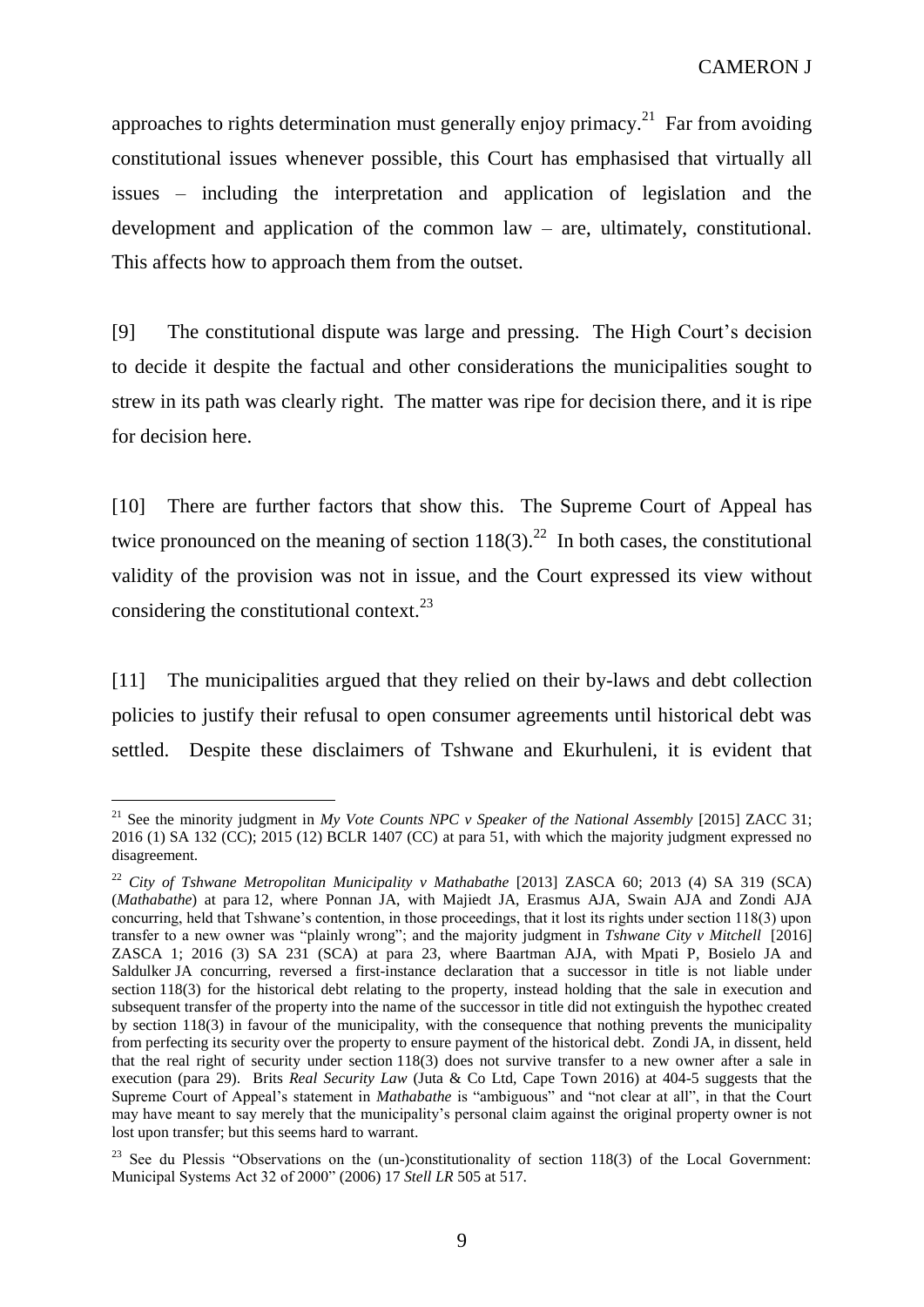approaches to rights determination must generally enjoy primacy.<sup>21</sup> Far from avoiding constitutional issues whenever possible, this Court has emphasised that virtually all issues – including the interpretation and application of legislation and the development and application of the common law – are, ultimately, constitutional. This affects how to approach them from the outset.

[9] The constitutional dispute was large and pressing. The High Court's decision to decide it despite the factual and other considerations the municipalities sought to strew in its path was clearly right. The matter was ripe for decision there, and it is ripe for decision here.

[10] There are further factors that show this. The Supreme Court of Appeal has twice pronounced on the meaning of section  $118(3)$ .<sup>22</sup> In both cases, the constitutional validity of the provision was not in issue, and the Court expressed its view without considering the constitutional context. $^{23}$ 

[11] The municipalities argued that they relied on their by-laws and debt collection policies to justify their refusal to open consumer agreements until historical debt was settled. Despite these disclaimers of Tshwane and Ekurhuleni, it is evident that

 $\overline{a}$ <sup>21</sup> See the minority judgment in *My Vote Counts NPC v Speaker of the National Assembly* [2015] ZACC 31; 2016 (1) SA 132 (CC); 2015 (12) BCLR 1407 (CC) at para 51, with which the majority judgment expressed no disagreement.

<sup>22</sup> *City of Tshwane Metropolitan Municipality v Mathabathe* [2013] ZASCA 60; 2013 (4) SA 319 (SCA) (*Mathabathe*) at para 12, where Ponnan JA, with Majiedt JA, Erasmus AJA, Swain AJA and Zondi AJA concurring, held that Tshwane's contention, in those proceedings, that it lost its rights under section 118(3) upon transfer to a new owner was "plainly wrong"; and the majority judgment in *Tshwane City v Mitchell* [2016] ZASCA 1; 2016 (3) SA 231 (SCA) at para 23, where Baartman AJA, with Mpati P, Bosielo JA and Saldulker JA concurring, reversed a first-instance declaration that a successor in title is not liable under section 118(3) for the historical debt relating to the property, instead holding that the sale in execution and subsequent transfer of the property into the name of the successor in title did not extinguish the hypothec created by section 118(3) in favour of the municipality, with the consequence that nothing prevents the municipality from perfecting its security over the property to ensure payment of the historical debt. Zondi JA, in dissent, held that the real right of security under section 118(3) does not survive transfer to a new owner after a sale in execution (para 29). Brits *Real Security Law* (Juta & Co Ltd, Cape Town 2016) at 404-5 suggests that the Supreme Court of Appeal's statement in *Mathabathe* is "ambiguous" and "not clear at all", in that the Court may have meant to say merely that the municipality's personal claim against the original property owner is not lost upon transfer; but this seems hard to warrant.

<sup>&</sup>lt;sup>23</sup> See du Plessis "Observations on the (un-)constitutionality of section 118(3) of the Local Government: Municipal Systems Act 32 of 2000" (2006) 17 *Stell LR* 505 at 517.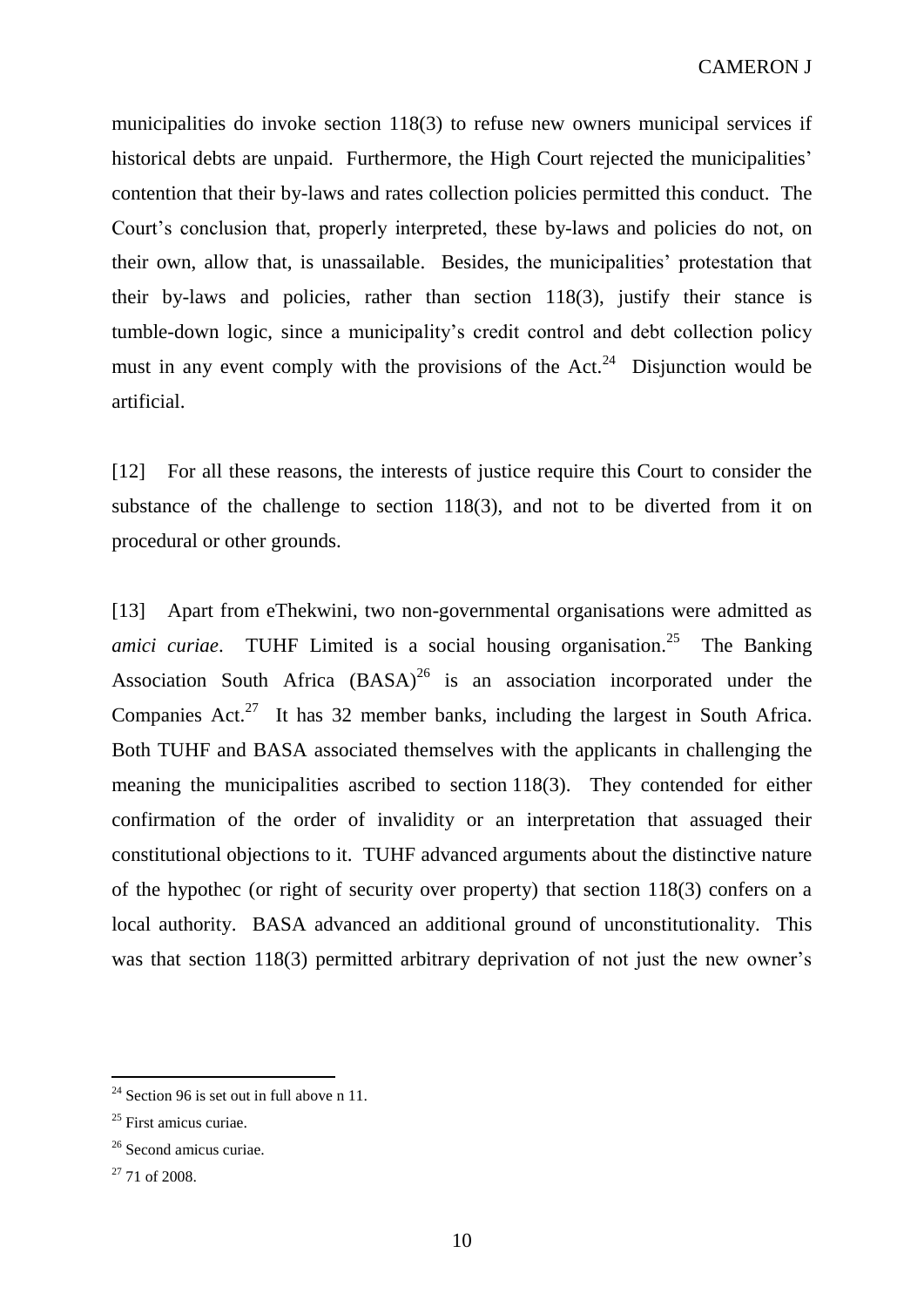municipalities do invoke section 118(3) to refuse new owners municipal services if historical debts are unpaid. Furthermore, the High Court rejected the municipalities' contention that their by-laws and rates collection policies permitted this conduct. The Court's conclusion that, properly interpreted, these by-laws and policies do not, on their own, allow that, is unassailable. Besides, the municipalities' protestation that their by-laws and policies, rather than section 118(3), justify their stance is tumble-down logic, since a municipality's credit control and debt collection policy must in any event comply with the provisions of the  $Act.^{24}$  Disjunction would be artificial.

[12] For all these reasons, the interests of justice require this Court to consider the substance of the challenge to section 118(3), and not to be diverted from it on procedural or other grounds.

[13] Apart from eThekwini, two non-governmental organisations were admitted as amici curiae. TUHF Limited is a social housing organisation.<sup>25</sup> The Banking Association South Africa  $(BASA)^{26}$  is an association incorporated under the Companies Act.<sup>27</sup> It has 32 member banks, including the largest in South Africa. Both TUHF and BASA associated themselves with the applicants in challenging the meaning the municipalities ascribed to section 118(3). They contended for either confirmation of the order of invalidity or an interpretation that assuaged their constitutional objections to it. TUHF advanced arguments about the distinctive nature of the hypothec (or right of security over property) that section 118(3) confers on a local authority. BASA advanced an additional ground of unconstitutionality. This was that section 118(3) permitted arbitrary deprivation of not just the new owner's

<sup>&</sup>lt;sup>24</sup> Section 96 is set out in full above n 11.

<sup>&</sup>lt;sup>25</sup> First amicus curiae.

<sup>26</sup> Second amicus curiae.

 $27$  71 of 2008.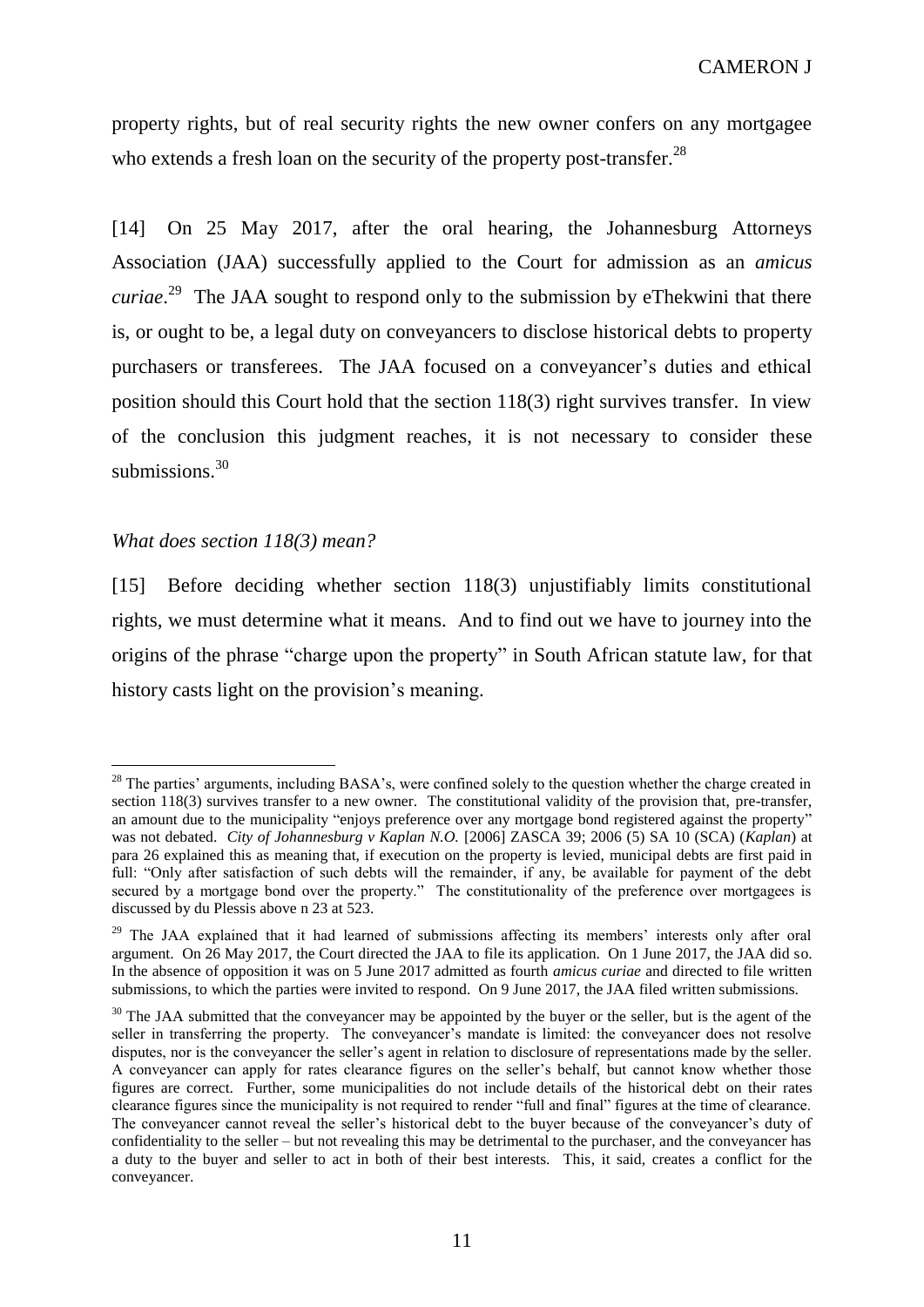property rights, but of real security rights the new owner confers on any mortgagee who extends a fresh loan on the security of the property post-transfer.<sup>28</sup>

[14] On 25 May 2017, after the oral hearing, the Johannesburg Attorneys Association (JAA) successfully applied to the Court for admission as an *amicus curiae*. 29 The JAA sought to respond only to the submission by eThekwini that there is, or ought to be, a legal duty on conveyancers to disclose historical debts to property purchasers or transferees. The JAA focused on a conveyancer's duties and ethical position should this Court hold that the section 118(3) right survives transfer. In view of the conclusion this judgment reaches, it is not necessary to consider these submissions.<sup>30</sup>

#### *What does section 118(3) mean?*

 $\overline{a}$ 

[15] Before deciding whether section 118(3) unjustifiably limits constitutional rights, we must determine what it means. And to find out we have to journey into the origins of the phrase "charge upon the property" in South African statute law, for that history casts light on the provision's meaning.

<sup>&</sup>lt;sup>28</sup> The parties' arguments, including BASA's, were confined solely to the question whether the charge created in section 118(3) survives transfer to a new owner. The constitutional validity of the provision that, pre-transfer, an amount due to the municipality "enjoys preference over any mortgage bond registered against the property" was not debated. *City of Johannesburg v Kaplan N.O.* [2006] ZASCA 39; 2006 (5) SA 10 (SCA) (*Kaplan*) at para 26 explained this as meaning that, if execution on the property is levied, municipal debts are first paid in full: "Only after satisfaction of such debts will the remainder, if any, be available for payment of the debt secured by a mortgage bond over the property." The constitutionality of the preference over mortgagees is discussed by du Plessis above n 23 at 523.

<sup>&</sup>lt;sup>29</sup> The JAA explained that it had learned of submissions affecting its members' interests only after oral argument. On 26 May 2017, the Court directed the JAA to file its application. On 1 June 2017, the JAA did so. In the absence of opposition it was on 5 June 2017 admitted as fourth *amicus curiae* and directed to file written submissions, to which the parties were invited to respond. On 9 June 2017, the JAA filed written submissions.

<sup>&</sup>lt;sup>30</sup> The JAA submitted that the conveyancer may be appointed by the buyer or the seller, but is the agent of the seller in transferring the property. The conveyancer's mandate is limited: the conveyancer does not resolve disputes, nor is the conveyancer the seller's agent in relation to disclosure of representations made by the seller. A conveyancer can apply for rates clearance figures on the seller's behalf, but cannot know whether those figures are correct. Further, some municipalities do not include details of the historical debt on their rates clearance figures since the municipality is not required to render "full and final" figures at the time of clearance. The conveyancer cannot reveal the seller's historical debt to the buyer because of the conveyancer's duty of confidentiality to the seller – but not revealing this may be detrimental to the purchaser, and the conveyancer has a duty to the buyer and seller to act in both of their best interests. This, it said, creates a conflict for the conveyancer.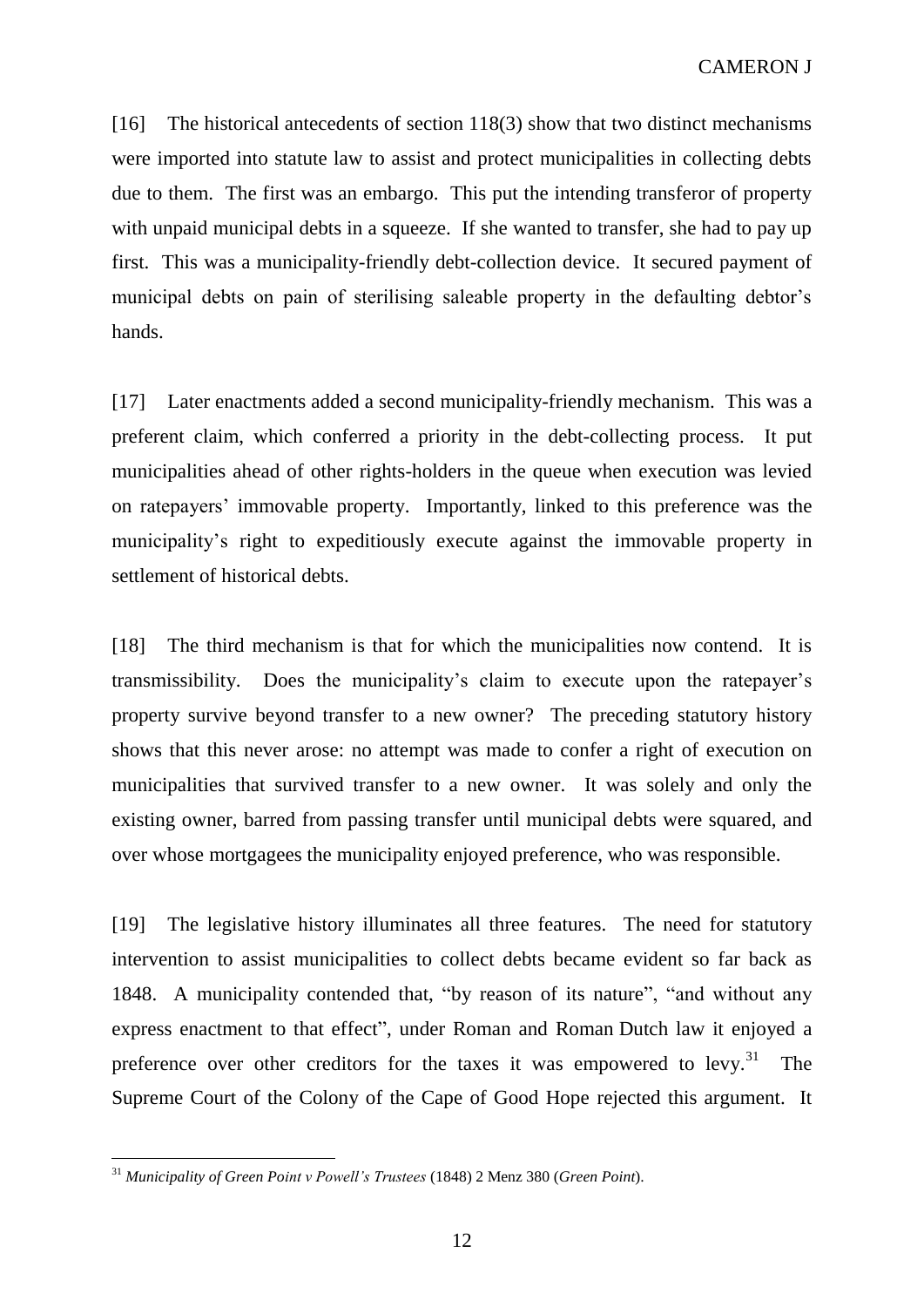[16] The historical antecedents of section 118(3) show that two distinct mechanisms were imported into statute law to assist and protect municipalities in collecting debts due to them. The first was an embargo. This put the intending transferor of property with unpaid municipal debts in a squeeze. If she wanted to transfer, she had to pay up first. This was a municipality-friendly debt-collection device. It secured payment of municipal debts on pain of sterilising saleable property in the defaulting debtor's hands.

[17] Later enactments added a second municipality-friendly mechanism. This was a preferent claim, which conferred a priority in the debt-collecting process. It put municipalities ahead of other rights-holders in the queue when execution was levied on ratepayers' immovable property. Importantly, linked to this preference was the municipality's right to expeditiously execute against the immovable property in settlement of historical debts.

[18] The third mechanism is that for which the municipalities now contend. It is transmissibility. Does the municipality's claim to execute upon the ratepayer's property survive beyond transfer to a new owner? The preceding statutory history shows that this never arose: no attempt was made to confer a right of execution on municipalities that survived transfer to a new owner. It was solely and only the existing owner, barred from passing transfer until municipal debts were squared, and over whose mortgagees the municipality enjoyed preference, who was responsible.

[19] The legislative history illuminates all three features. The need for statutory intervention to assist municipalities to collect debts became evident so far back as 1848. A municipality contended that, "by reason of its nature", "and without any express enactment to that effect", under Roman and Roman Dutch law it enjoyed a preference over other creditors for the taxes it was empowered to levy.<sup>31</sup> The Supreme Court of the Colony of the Cape of Good Hope rejected this argument. It

<sup>31</sup> *Municipality of Green Point v Powell's Trustees* (1848) 2 Menz 380 (*Green Point*).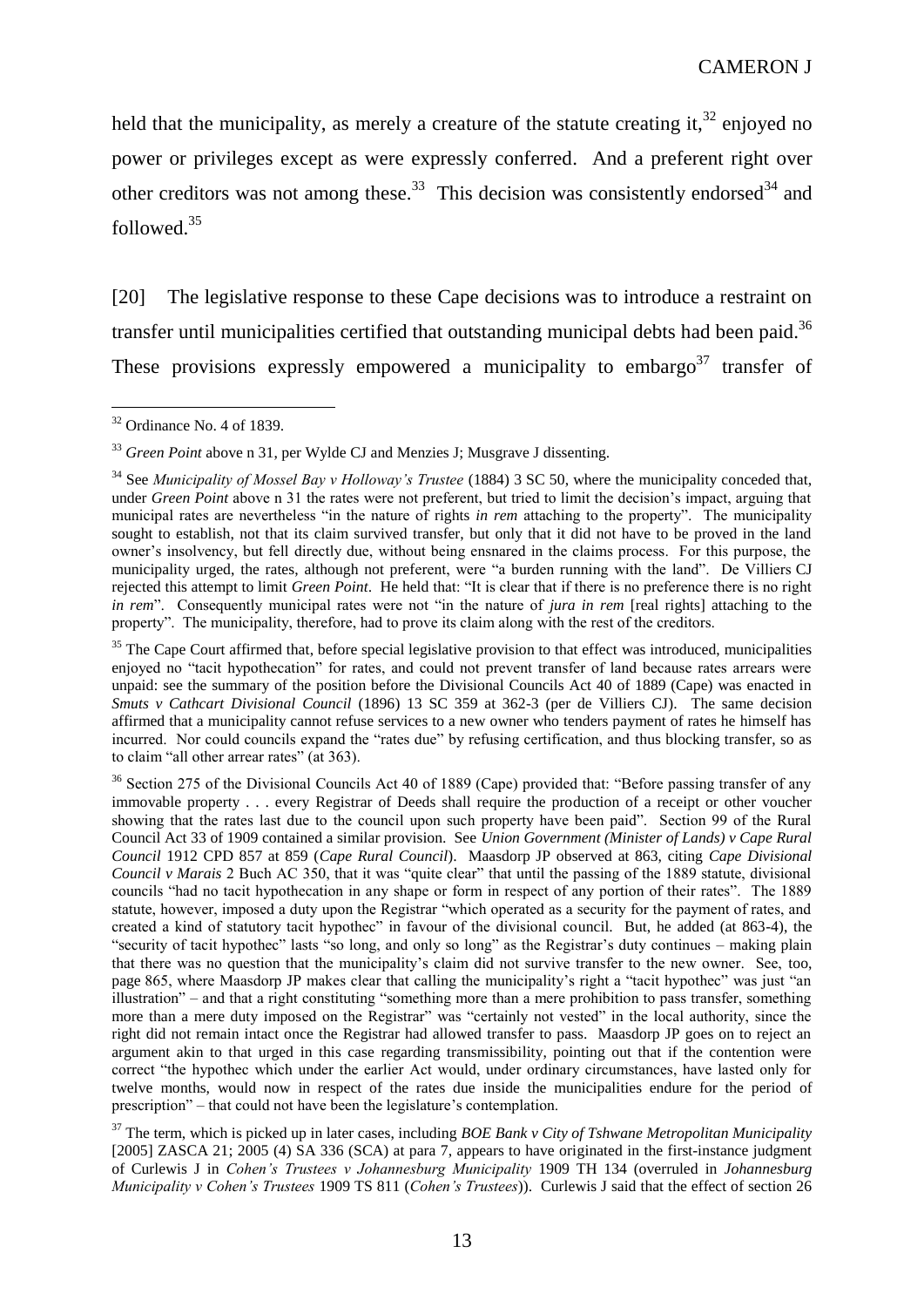held that the municipality, as merely a creature of the statute creating it,  $32$  enjoyed no power or privileges except as were expressly conferred. And a preferent right over other creditors was not among these.<sup>33</sup> This decision was consistently endorsed<sup>34</sup> and followed.<sup>35</sup>

[20] The legislative response to these Cape decisions was to introduce a restraint on transfer until municipalities certified that outstanding municipal debts had been paid.<sup>36</sup> These provisions expressly empowered a municipality to embargo<sup>37</sup> transfer of

<sup>&</sup>lt;sup>32</sup> Ordinance No. 4 of 1839.

<sup>&</sup>lt;sup>33</sup> *Green Point* above n 31, per Wylde CJ and Menzies J; Musgrave J dissenting.

<sup>34</sup> See *Municipality of Mossel Bay v Holloway's Trustee* (1884) 3 SC 50, where the municipality conceded that, under *Green Point* above n 31 the rates were not preferent, but tried to limit the decision's impact, arguing that municipal rates are nevertheless "in the nature of rights *in rem* attaching to the property". The municipality sought to establish, not that its claim survived transfer, but only that it did not have to be proved in the land owner's insolvency, but fell directly due, without being ensnared in the claims process. For this purpose, the municipality urged, the rates, although not preferent, were "a burden running with the land". De Villiers CJ rejected this attempt to limit *Green Point*. He held that: "It is clear that if there is no preference there is no right *in rem*". Consequently municipal rates were not "in the nature of *jura in rem* [real rights] attaching to the property". The municipality, therefore, had to prove its claim along with the rest of the creditors.

 $35$  The Cape Court affirmed that, before special legislative provision to that effect was introduced, municipalities enjoyed no "tacit hypothecation" for rates, and could not prevent transfer of land because rates arrears were unpaid: see the summary of the position before the Divisional Councils Act 40 of 1889 (Cape) was enacted in *Smuts v Cathcart Divisional Council* (1896) 13 SC 359 at 362-3 (per de Villiers CJ). The same decision affirmed that a municipality cannot refuse services to a new owner who tenders payment of rates he himself has incurred. Nor could councils expand the "rates due" by refusing certification, and thus blocking transfer, so as to claim "all other arrear rates" (at 363).

<sup>&</sup>lt;sup>36</sup> Section 275 of the Divisional Councils Act 40 of 1889 (Cape) provided that: "Before passing transfer of any immovable property . . . every Registrar of Deeds shall require the production of a receipt or other voucher showing that the rates last due to the council upon such property have been paid". Section 99 of the Rural Council Act 33 of 1909 contained a similar provision. See *Union Government (Minister of Lands) v Cape Rural Council* 1912 CPD 857 at 859 (*Cape Rural Council*). Maasdorp JP observed at 863, citing *Cape Divisional Council v Marais* 2 Buch AC 350, that it was "quite clear" that until the passing of the 1889 statute, divisional councils "had no tacit hypothecation in any shape or form in respect of any portion of their rates". The 1889 statute, however, imposed a duty upon the Registrar "which operated as a security for the payment of rates, and created a kind of statutory tacit hypothec" in favour of the divisional council. But, he added (at 863-4), the "security of tacit hypothec" lasts "so long, and only so long" as the Registrar's duty continues – making plain that there was no question that the municipality's claim did not survive transfer to the new owner. See, too, page 865, where Maasdorp JP makes clear that calling the municipality's right a "tacit hypothec" was just "an illustration" – and that a right constituting "something more than a mere prohibition to pass transfer, something more than a mere duty imposed on the Registrar" was "certainly not vested" in the local authority, since the right did not remain intact once the Registrar had allowed transfer to pass. Maasdorp JP goes on to reject an argument akin to that urged in this case regarding transmissibility, pointing out that if the contention were correct "the hypothec which under the earlier Act would, under ordinary circumstances, have lasted only for twelve months, would now in respect of the rates due inside the municipalities endure for the period of prescription" – that could not have been the legislature's contemplation.

<sup>37</sup> The term, which is picked up in later cases, including *BOE Bank v City of Tshwane Metropolitan Municipality*  [2005] ZASCA 21; 2005 (4) SA 336 (SCA) at para 7, appears to have originated in the first-instance judgment of Curlewis J in *Cohen's Trustees v Johannesburg Municipality* 1909 TH 134 (overruled in *Johannesburg Municipality v Cohen's Trustees* 1909 TS 811 (*Cohen's Trustees*)). Curlewis J said that the effect of section 26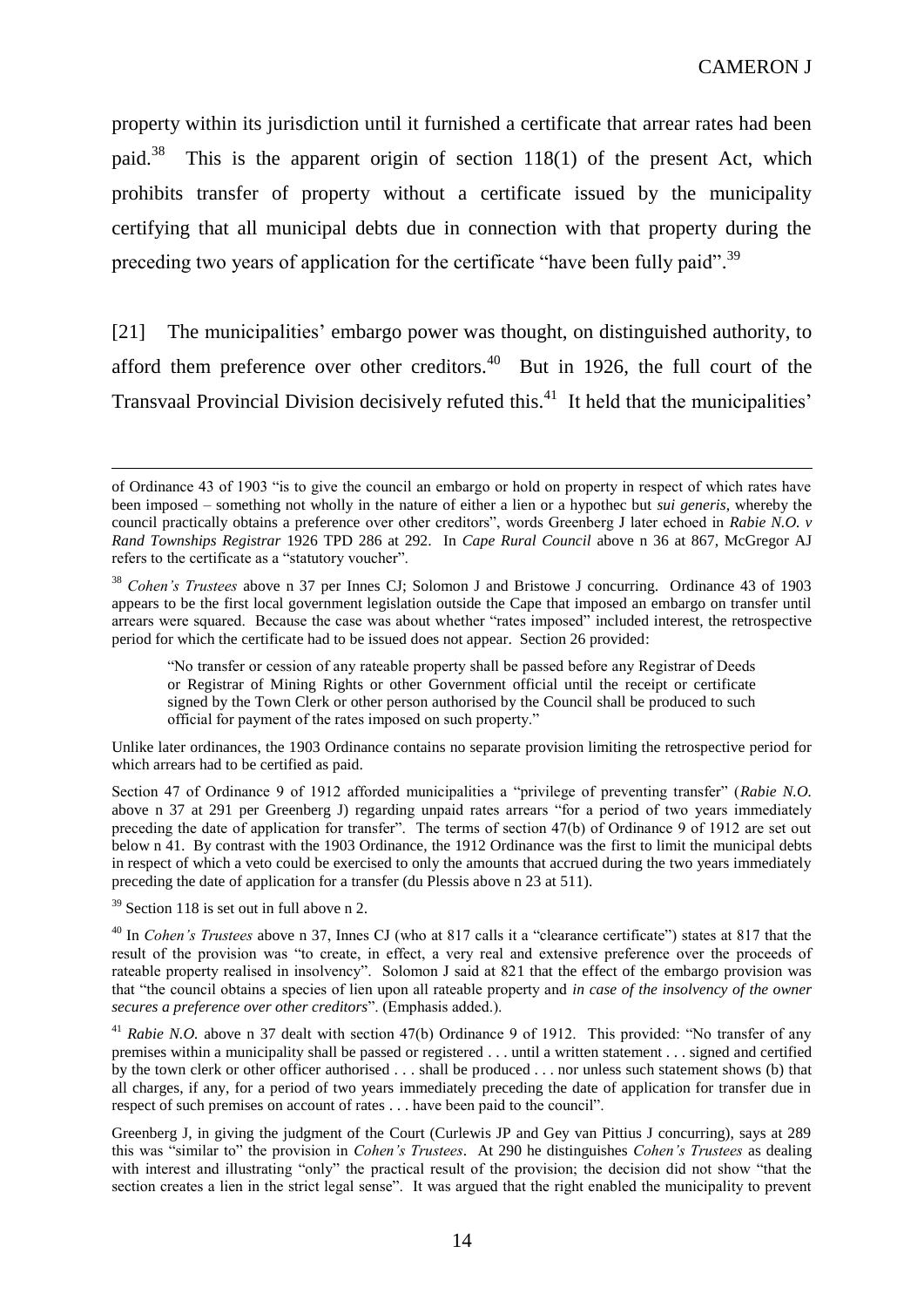property within its jurisdiction until it furnished a certificate that arrear rates had been paid.<sup>38</sup> This is the apparent origin of section 118(1) of the present Act, which prohibits transfer of property without a certificate issued by the municipality certifying that all municipal debts due in connection with that property during the preceding two years of application for the certificate "have been fully paid".<sup>39</sup>

[21] The municipalities' embargo power was thought, on distinguished authority, to afford them preference over other creditors. $40$  But in 1926, the full court of the Transvaal Provincial Division decisively refuted this.<sup>41</sup> It held that the municipalities'

Unlike later ordinances, the 1903 Ordinance contains no separate provision limiting the retrospective period for which arrears had to be certified as paid.

Section 47 of Ordinance 9 of 1912 afforded municipalities a "privilege of preventing transfer" (*Rabie N.O.*  above n 37 at 291 per Greenberg J) regarding unpaid rates arrears "for a period of two years immediately preceding the date of application for transfer". The terms of section 47(b) of Ordinance 9 of 1912 are set out below n 41. By contrast with the 1903 Ordinance, the 1912 Ordinance was the first to limit the municipal debts in respect of which a veto could be exercised to only the amounts that accrued during the two years immediately preceding the date of application for a transfer (du Plessis above n 23 at 511).

 $39$  Section 118 is set out in full above n 2.

of Ordinance 43 of 1903 "is to give the council an embargo or hold on property in respect of which rates have been imposed – something not wholly in the nature of either a lien or a hypothec but *sui generis*, whereby the council practically obtains a preference over other creditors", words Greenberg J later echoed in *Rabie N.O. v Rand Townships Registrar* 1926 TPD 286 at 292. In *Cape Rural Council* above n 36 at 867, McGregor AJ refers to the certificate as a "statutory voucher".

<sup>38</sup> *Cohen's Trustees* above n 37 per Innes CJ; Solomon J and Bristowe J concurring. Ordinance 43 of 1903 appears to be the first local government legislation outside the Cape that imposed an embargo on transfer until arrears were squared. Because the case was about whether "rates imposed" included interest, the retrospective period for which the certificate had to be issued does not appear. Section 26 provided:

<sup>&</sup>quot;No transfer or cession of any rateable property shall be passed before any Registrar of Deeds or Registrar of Mining Rights or other Government official until the receipt or certificate signed by the Town Clerk or other person authorised by the Council shall be produced to such official for payment of the rates imposed on such property."

<sup>&</sup>lt;sup>40</sup> In *Cohen's Trustees* above n 37, Innes CJ (who at 817 calls it a "clearance certificate") states at 817 that the result of the provision was "to create, in effect, a very real and extensive preference over the proceeds of rateable property realised in insolvency". Solomon J said at 821 that the effect of the embargo provision was that "the council obtains a species of lien upon all rateable property and *in case of the insolvency of the owner secures a preference over other creditors*". (Emphasis added.).

<sup>&</sup>lt;sup>41</sup> *Rabie N.O.* above n 37 dealt with section 47(b) Ordinance 9 of 1912. This provided: "No transfer of any premises within a municipality shall be passed or registered . . . until a written statement . . . signed and certified by the town clerk or other officer authorised . . . shall be produced . . . nor unless such statement shows (b) that all charges, if any, for a period of two years immediately preceding the date of application for transfer due in respect of such premises on account of rates . . . have been paid to the council".

Greenberg J, in giving the judgment of the Court (Curlewis JP and Gey van Pittius J concurring), says at 289 this was "similar to" the provision in *Cohen's Trustees*. At 290 he distinguishes *Cohen's Trustees* as dealing with interest and illustrating "only" the practical result of the provision; the decision did not show "that the section creates a lien in the strict legal sense". It was argued that the right enabled the municipality to prevent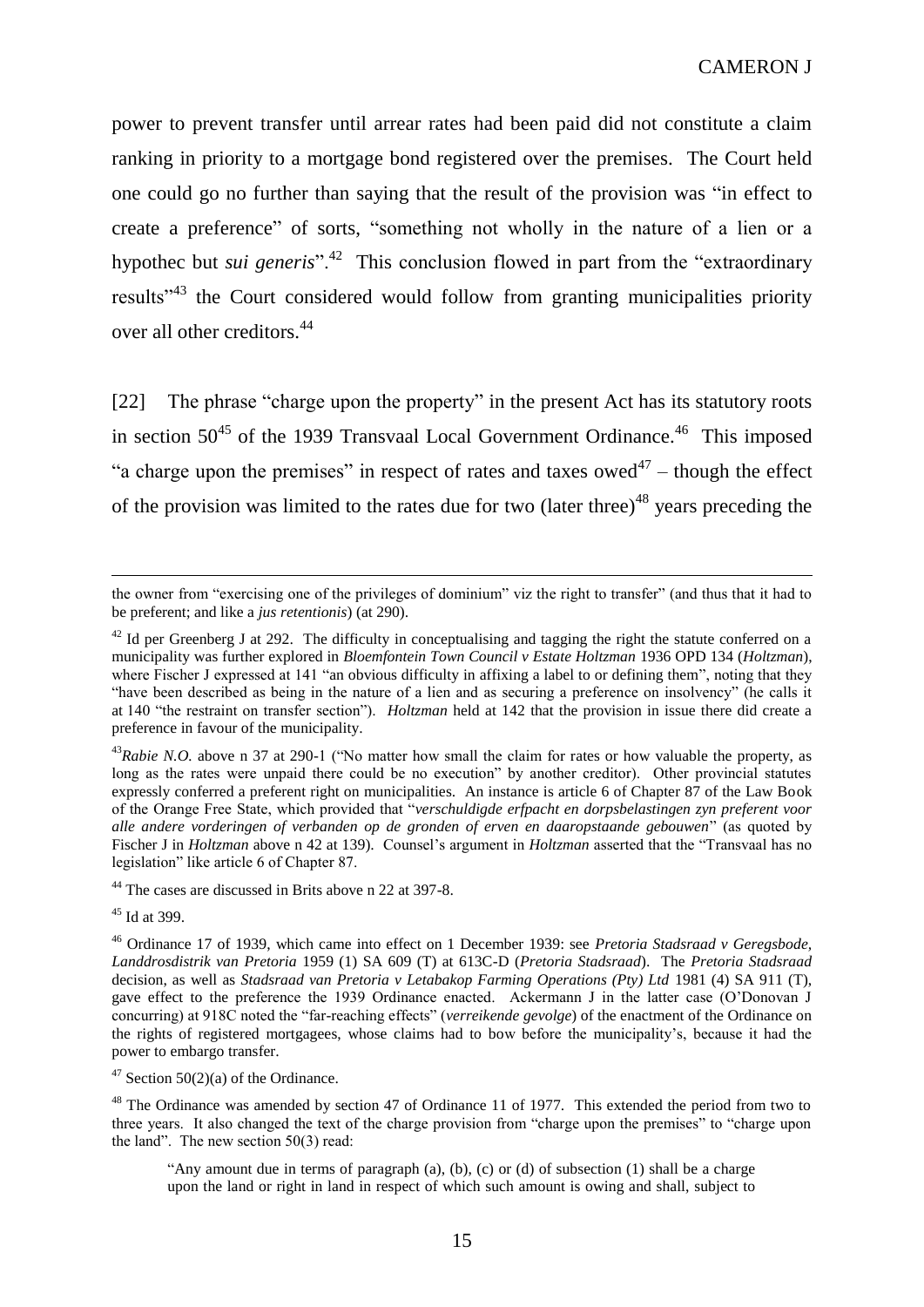power to prevent transfer until arrear rates had been paid did not constitute a claim ranking in priority to a mortgage bond registered over the premises. The Court held one could go no further than saying that the result of the provision was "in effect to create a preference" of sorts, "something not wholly in the nature of a lien or a hypothec but *sui generis*<sup>", 42</sup> This conclusion flowed in part from the "extraordinary results"<sup>43</sup> the Court considered would follow from granting municipalities priority over all other creditors.<sup>44</sup>

[22] The phrase "charge upon the property" in the present Act has its statutory roots in section  $50^{45}$  of the 1939 Transvaal Local Government Ordinance.<sup>46</sup> This imposed "a charge upon the premises" in respect of rates and taxes owed $47$  – though the effect of the provision was limited to the rates due for two  $(later three)^{48}$  years preceding the

<sup>44</sup> The cases are discussed in Brits above n 22 at 397-8.

<sup>45</sup> Id at 399.

the owner from "exercising one of the privileges of dominium" viz the right to transfer" (and thus that it had to be preferent; and like a *jus retentionis*) (at 290).

 $42$  Id per Greenberg J at 292. The difficulty in conceptualising and tagging the right the statute conferred on a municipality was further explored in *Bloemfontein Town Council v Estate Holtzman* 1936 OPD 134 (*Holtzman*), where Fischer J expressed at 141 "an obvious difficulty in affixing a label to or defining them", noting that they "have been described as being in the nature of a lien and as securing a preference on insolvency" (he calls it at 140 "the restraint on transfer section"). *Holtzman* held at 142 that the provision in issue there did create a preference in favour of the municipality.

<sup>&</sup>lt;sup>43</sup>Rabie N.O. above n 37 at 290-1 ("No matter how small the claim for rates or how valuable the property, as long as the rates were unpaid there could be no execution" by another creditor). Other provincial statutes expressly conferred a preferent right on municipalities. An instance is article 6 of Chapter 87 of the Law Book of the Orange Free State, which provided that "*verschuldigde erfpacht en dorpsbelastingen zyn preferent voor alle andere vorderingen of verbanden op de gronden of erven en daaropstaande gebouwen*" (as quoted by Fischer J in *Holtzman* above n 42 at 139). Counsel's argument in *Holtzman* asserted that the "Transvaal has no legislation" like article 6 of Chapter 87.

<sup>46</sup> Ordinance 17 of 1939, which came into effect on 1 December 1939: see *Pretoria Stadsraad v Geregsbode, Landdrosdistrik van Pretoria* 1959 (1) SA 609 (T) at 613C-D (*Pretoria Stadsraad*). The *Pretoria Stadsraad* decision, as well as *Stadsraad van Pretoria v Letabakop Farming Operations (Pty) Ltd* 1981 (4) SA 911 (T), gave effect to the preference the 1939 Ordinance enacted. Ackermann J in the latter case (O'Donovan J concurring) at 918C noted the "far-reaching effects" (*verreikende gevolge*) of the enactment of the Ordinance on the rights of registered mortgagees, whose claims had to bow before the municipality's, because it had the power to embargo transfer.

 $47$  Section 50(2)(a) of the Ordinance.

<sup>&</sup>lt;sup>48</sup> The Ordinance was amended by section 47 of Ordinance 11 of 1977. This extended the period from two to three years. It also changed the text of the charge provision from "charge upon the premises" to "charge upon the land". The new section 50(3) read:

<sup>&</sup>quot;Any amount due in terms of paragraph (a), (b), (c) or (d) of subsection (1) shall be a charge upon the land or right in land in respect of which such amount is owing and shall, subject to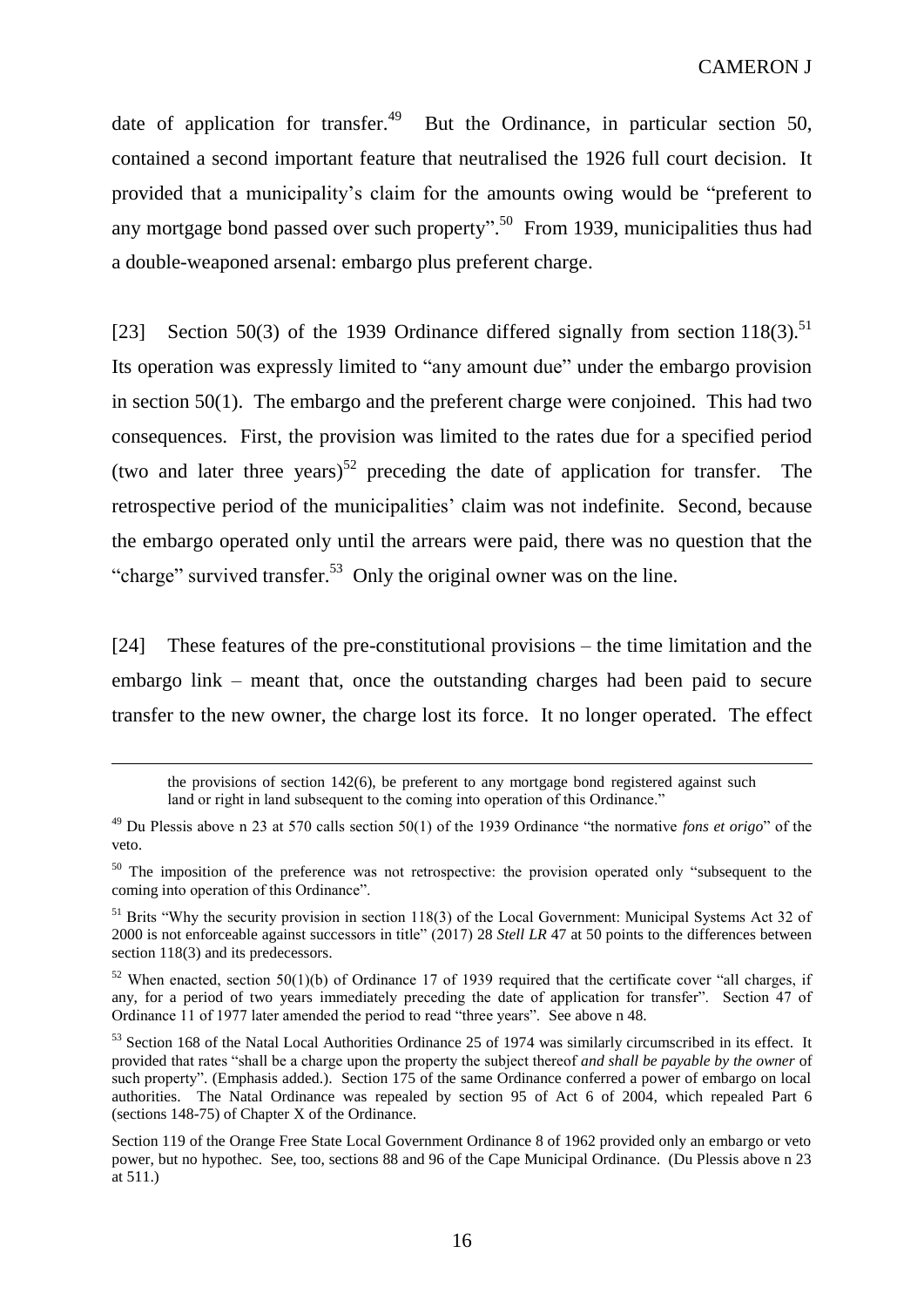date of application for transfer.<sup>49</sup> But the Ordinance, in particular section 50, contained a second important feature that neutralised the 1926 full court decision. It provided that a municipality's claim for the amounts owing would be "preferent to any mortgage bond passed over such property".<sup>50</sup> From 1939, municipalities thus had a double-weaponed arsenal: embargo plus preferent charge.

[23] Section 50(3) of the 1939 Ordinance differed signally from section  $118(3)$ .<sup>51</sup> Its operation was expressly limited to "any amount due" under the embargo provision in section 50(1). The embargo and the preferent charge were conjoined. This had two consequences. First, the provision was limited to the rates due for a specified period (two and later three years)<sup>52</sup> preceding the date of application for transfer. The retrospective period of the municipalities' claim was not indefinite. Second, because the embargo operated only until the arrears were paid, there was no question that the "charge" survived transfer.<sup>53</sup> Only the original owner was on the line.

[24] These features of the pre-constitutional provisions – the time limitation and the embargo link – meant that, once the outstanding charges had been paid to secure transfer to the new owner, the charge lost its force. It no longer operated. The effect

the provisions of section 142(6), be preferent to any mortgage bond registered against such land or right in land subsequent to the coming into operation of this Ordinance."

<sup>49</sup> Du Plessis above n 23 at 570 calls section 50(1) of the 1939 Ordinance "the normative *fons et origo*" of the veto.

<sup>&</sup>lt;sup>50</sup> The imposition of the preference was not retrospective: the provision operated only "subsequent to the coming into operation of this Ordinance".

<sup>&</sup>lt;sup>51</sup> Brits "Why the security provision in section 118(3) of the Local Government: Municipal Systems Act 32 of 2000 is not enforceable against successors in title" (2017) 28 *Stell LR* 47 at 50 points to the differences between section 118(3) and its predecessors.

 $52$  When enacted, section 50(1)(b) of Ordinance 17 of 1939 required that the certificate cover "all charges, if any, for a period of two years immediately preceding the date of application for transfer". Section 47 of Ordinance 11 of 1977 later amended the period to read "three years". See above n 48.

<sup>&</sup>lt;sup>53</sup> Section 168 of the Natal Local Authorities Ordinance 25 of 1974 was similarly circumscribed in its effect. It provided that rates "shall be a charge upon the property the subject thereof *and shall be payable by the owner* of such property". (Emphasis added.). Section 175 of the same Ordinance conferred a power of embargo on local authorities. The Natal Ordinance was repealed by section 95 of Act 6 of 2004, which repealed Part 6 (sections 148-75) of Chapter X of the Ordinance.

Section 119 of the Orange Free State Local Government Ordinance 8 of 1962 provided only an embargo or veto power, but no hypothec. See, too, sections 88 and 96 of the Cape Municipal Ordinance. (Du Plessis above n 23 at 511.)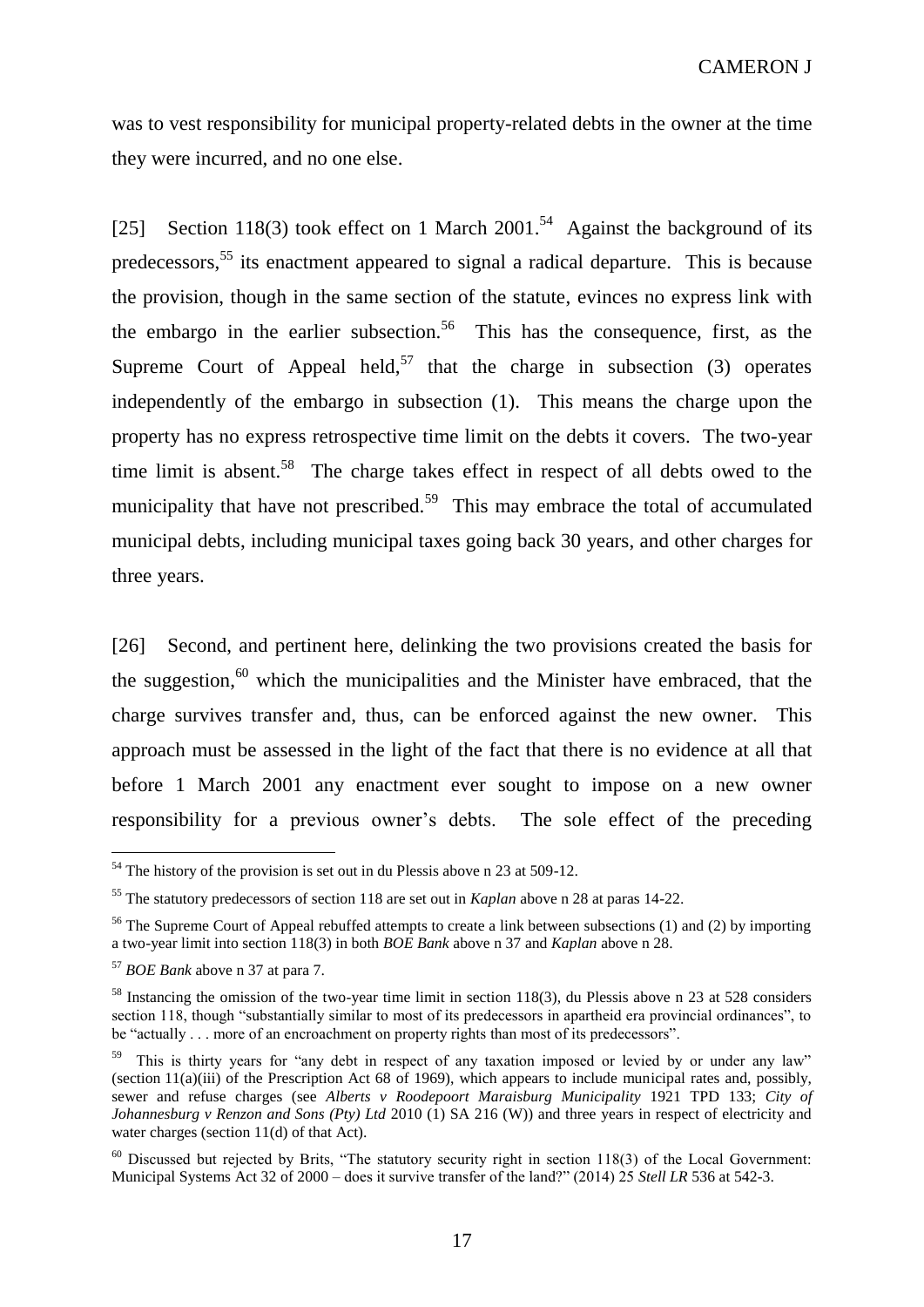was to vest responsibility for municipal property-related debts in the owner at the time they were incurred, and no one else.

[25] Section 118(3) took effect on 1 March 2001.<sup>54</sup> Against the background of its predecessors,<sup>55</sup> its enactment appeared to signal a radical departure. This is because the provision, though in the same section of the statute, evinces no express link with the embargo in the earlier subsection.<sup>56</sup> This has the consequence, first, as the Supreme Court of Appeal held,<sup>57</sup> that the charge in subsection  $(3)$  operates independently of the embargo in subsection (1). This means the charge upon the property has no express retrospective time limit on the debts it covers. The two-year time limit is absent.<sup>58</sup> The charge takes effect in respect of all debts owed to the municipality that have not prescribed.<sup>59</sup> This may embrace the total of accumulated municipal debts, including municipal taxes going back 30 years, and other charges for three years.

[26] Second, and pertinent here, delinking the two provisions created the basis for the suggestion, <sup>60</sup> which the municipalities and the Minister have embraced, that the charge survives transfer and, thus, can be enforced against the new owner. This approach must be assessed in the light of the fact that there is no evidence at all that before 1 March 2001 any enactment ever sought to impose on a new owner responsibility for a previous owner's debts. The sole effect of the preceding

 $54$  The history of the provision is set out in du Plessis above n 23 at 509-12.

<sup>55</sup> The statutory predecessors of section 118 are set out in *Kaplan* above n 28 at paras 14-22.

<sup>&</sup>lt;sup>56</sup> The Supreme Court of Appeal rebuffed attempts to create a link between subsections (1) and (2) by importing a two-year limit into section 118(3) in both *BOE Bank* above n 37 and *Kaplan* above n 28.

<sup>57</sup> *BOE Bank* above n 37 at para 7.

<sup>&</sup>lt;sup>58</sup> Instancing the omission of the two-year time limit in section 118(3), du Plessis above n 23 at 528 considers section 118, though "substantially similar to most of its predecessors in apartheid era provincial ordinances", to be "actually . . . more of an encroachment on property rights than most of its predecessors".

<sup>&</sup>lt;sup>59</sup> This is thirty years for "any debt in respect of any taxation imposed or levied by or under any law" (section 11(a)(iii) of the Prescription Act 68 of 1969), which appears to include municipal rates and, possibly, sewer and refuse charges (see *Alberts v Roodepoort Maraisburg Municipality* 1921 TPD 133; *City of Johannesburg v Renzon and Sons (Pty)* Ltd 2010 (1) SA 216 (W)) and three years in respect of electricity and water charges (section 11(d) of that Act).

<sup>&</sup>lt;sup>60</sup> Discussed but rejected by Brits, "The statutory security right in section 118(3) of the Local Government: Municipal Systems Act 32 of 2000 – does it survive transfer of the land?" (2014) 25 *Stell LR* 536 at 542-3.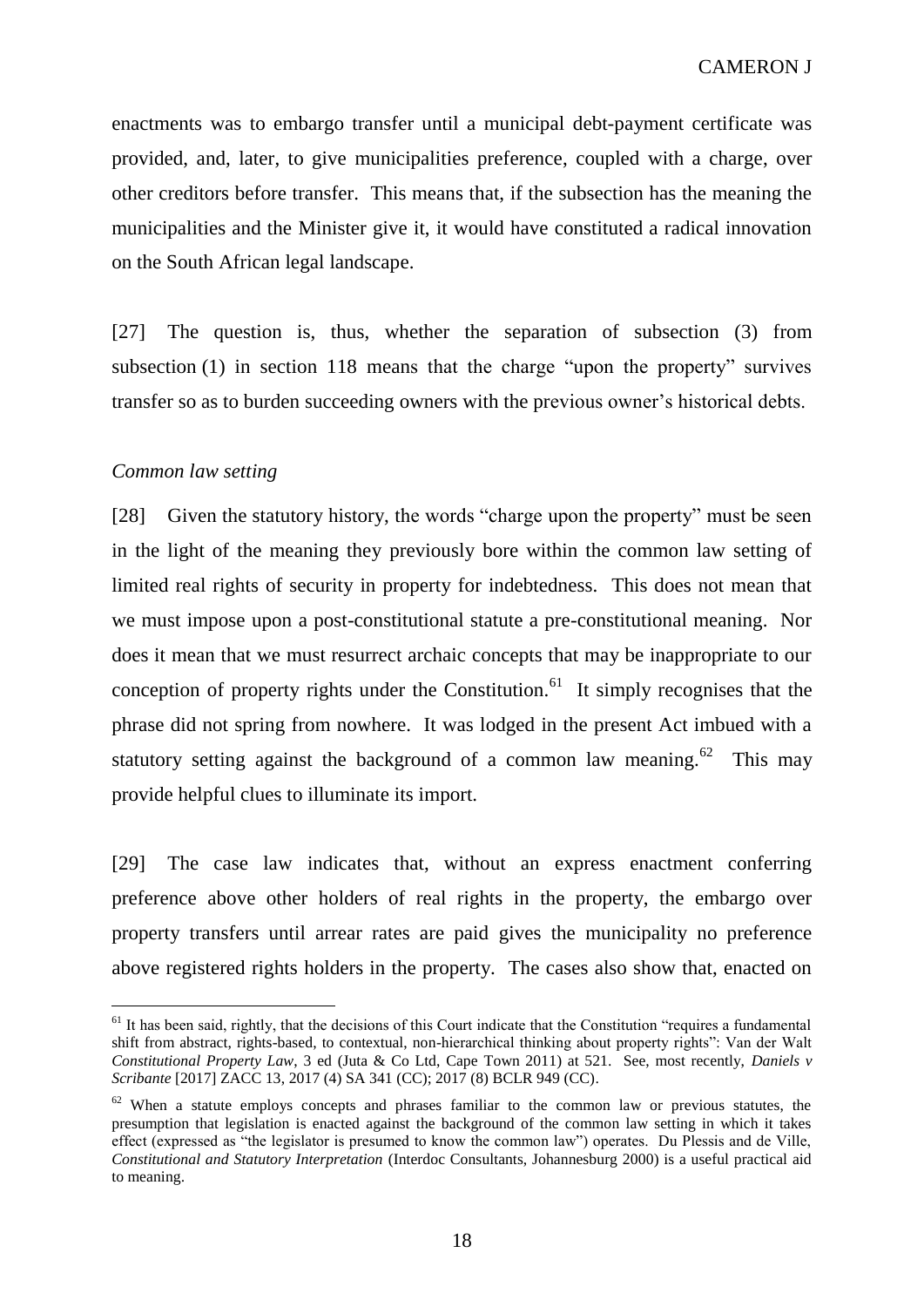enactments was to embargo transfer until a municipal debt-payment certificate was provided, and, later, to give municipalities preference, coupled with a charge, over other creditors before transfer. This means that, if the subsection has the meaning the municipalities and the Minister give it, it would have constituted a radical innovation on the South African legal landscape.

[27] The question is, thus, whether the separation of subsection (3) from subsection (1) in section 118 means that the charge "upon the property" survives transfer so as to burden succeeding owners with the previous owner's historical debts.

### *Common law setting*

 $\overline{a}$ 

[28] Given the statutory history, the words "charge upon the property" must be seen in the light of the meaning they previously bore within the common law setting of limited real rights of security in property for indebtedness. This does not mean that we must impose upon a post-constitutional statute a pre-constitutional meaning. Nor does it mean that we must resurrect archaic concepts that may be inappropriate to our conception of property rights under the Constitution.<sup>61</sup> It simply recognises that the phrase did not spring from nowhere. It was lodged in the present Act imbued with a statutory setting against the background of a common law meaning.<sup>62</sup> This may provide helpful clues to illuminate its import.

[29] The case law indicates that, without an express enactment conferring preference above other holders of real rights in the property, the embargo over property transfers until arrear rates are paid gives the municipality no preference above registered rights holders in the property. The cases also show that, enacted on

18

 $<sup>61</sup>$  It has been said, rightly, that the decisions of this Court indicate that the Constitution "requires a fundamental</sup> shift from abstract, rights-based, to contextual, non-hierarchical thinking about property rights": Van der Walt *Constitutional Property Law*, 3 ed (Juta & Co Ltd, Cape Town 2011) at 521. See, most recently, *Daniels v Scribante* [2017] ZACC 13, 2017 (4) SA 341 (CC); 2017 (8) BCLR 949 (CC).

<sup>&</sup>lt;sup>62</sup> When a statute employs concepts and phrases familiar to the common law or previous statutes, the presumption that legislation is enacted against the background of the common law setting in which it takes effect (expressed as "the legislator is presumed to know the common law") operates. Du Plessis and de Ville, *Constitutional and Statutory Interpretation* (Interdoc Consultants, Johannesburg 2000) is a useful practical aid to meaning.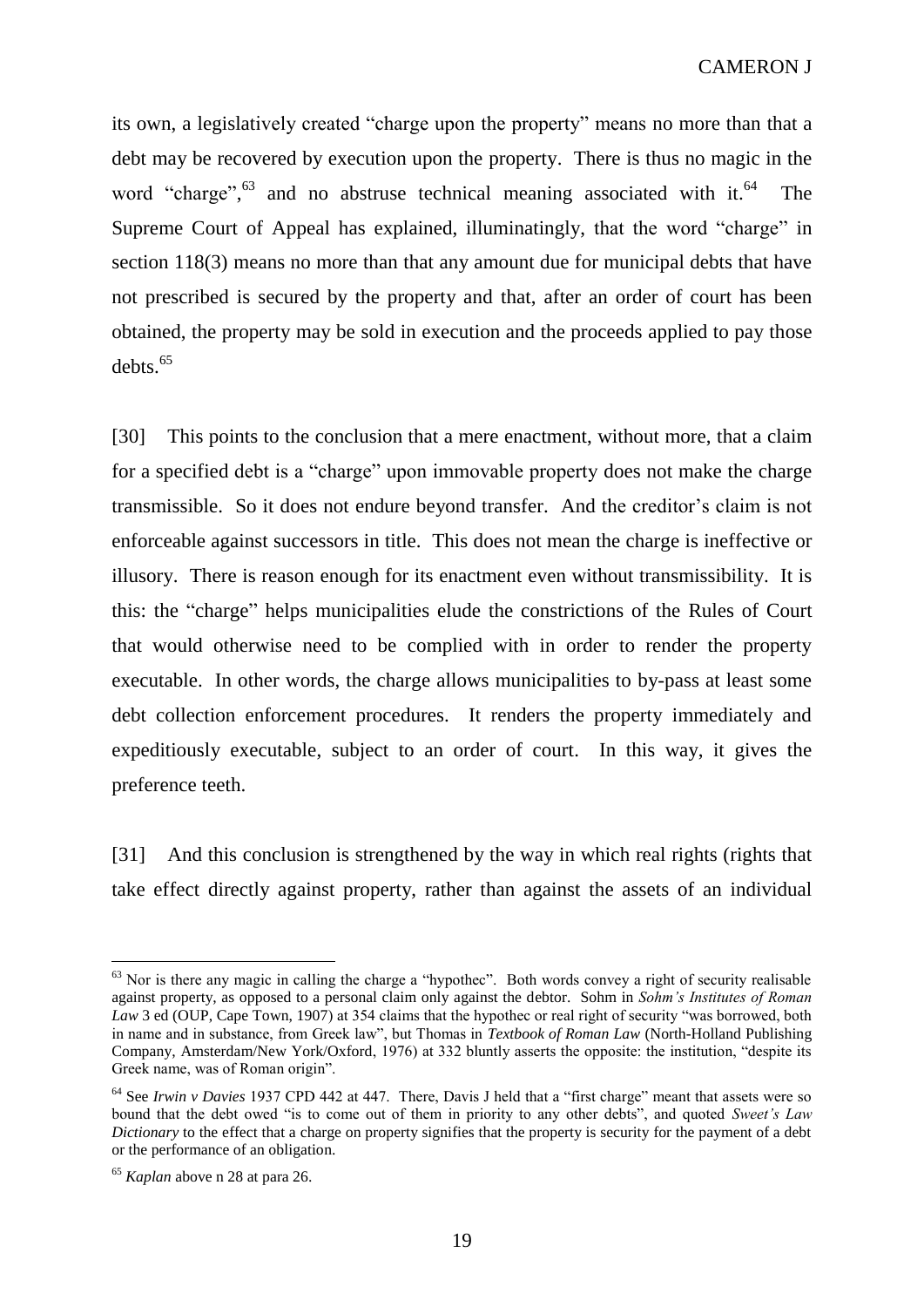its own, a legislatively created "charge upon the property" means no more than that a debt may be recovered by execution upon the property. There is thus no magic in the word "charge",<sup>63</sup> and no abstruse technical meaning associated with it.<sup>64</sup> The Supreme Court of Appeal has explained, illuminatingly, that the word "charge" in section 118(3) means no more than that any amount due for municipal debts that have not prescribed is secured by the property and that, after an order of court has been obtained, the property may be sold in execution and the proceeds applied to pay those  $debts.<sup>65</sup>$ 

[30] This points to the conclusion that a mere enactment, without more, that a claim for a specified debt is a "charge" upon immovable property does not make the charge transmissible. So it does not endure beyond transfer. And the creditor's claim is not enforceable against successors in title. This does not mean the charge is ineffective or illusory. There is reason enough for its enactment even without transmissibility. It is this: the "charge" helps municipalities elude the constrictions of the Rules of Court that would otherwise need to be complied with in order to render the property executable. In other words, the charge allows municipalities to by-pass at least some debt collection enforcement procedures. It renders the property immediately and expeditiously executable, subject to an order of court. In this way, it gives the preference teeth.

[31] And this conclusion is strengthened by the way in which real rights (rights that take effect directly against property, rather than against the assets of an individual

<sup>&</sup>lt;sup>63</sup> Nor is there any magic in calling the charge a "hypothec". Both words convey a right of security realisable against property, as opposed to a personal claim only against the debtor. Sohm in *Sohm's Institutes of Roman Law* 3 ed (OUP, Cape Town, 1907) at 354 claims that the hypothec or real right of security "was borrowed, both in name and in substance, from Greek law", but Thomas in *Textbook of Roman Law* (North-Holland Publishing Company, Amsterdam/New York/Oxford, 1976) at 332 bluntly asserts the opposite: the institution, "despite its Greek name, was of Roman origin".

<sup>64</sup> See *Irwin v Davies* 1937 CPD 442 at 447. There, Davis J held that a "first charge" meant that assets were so bound that the debt owed "is to come out of them in priority to any other debts", and quoted *Sweet's Law Dictionary* to the effect that a charge on property signifies that the property is security for the payment of a debt or the performance of an obligation.

<sup>65</sup> *Kaplan* above n 28 at para 26.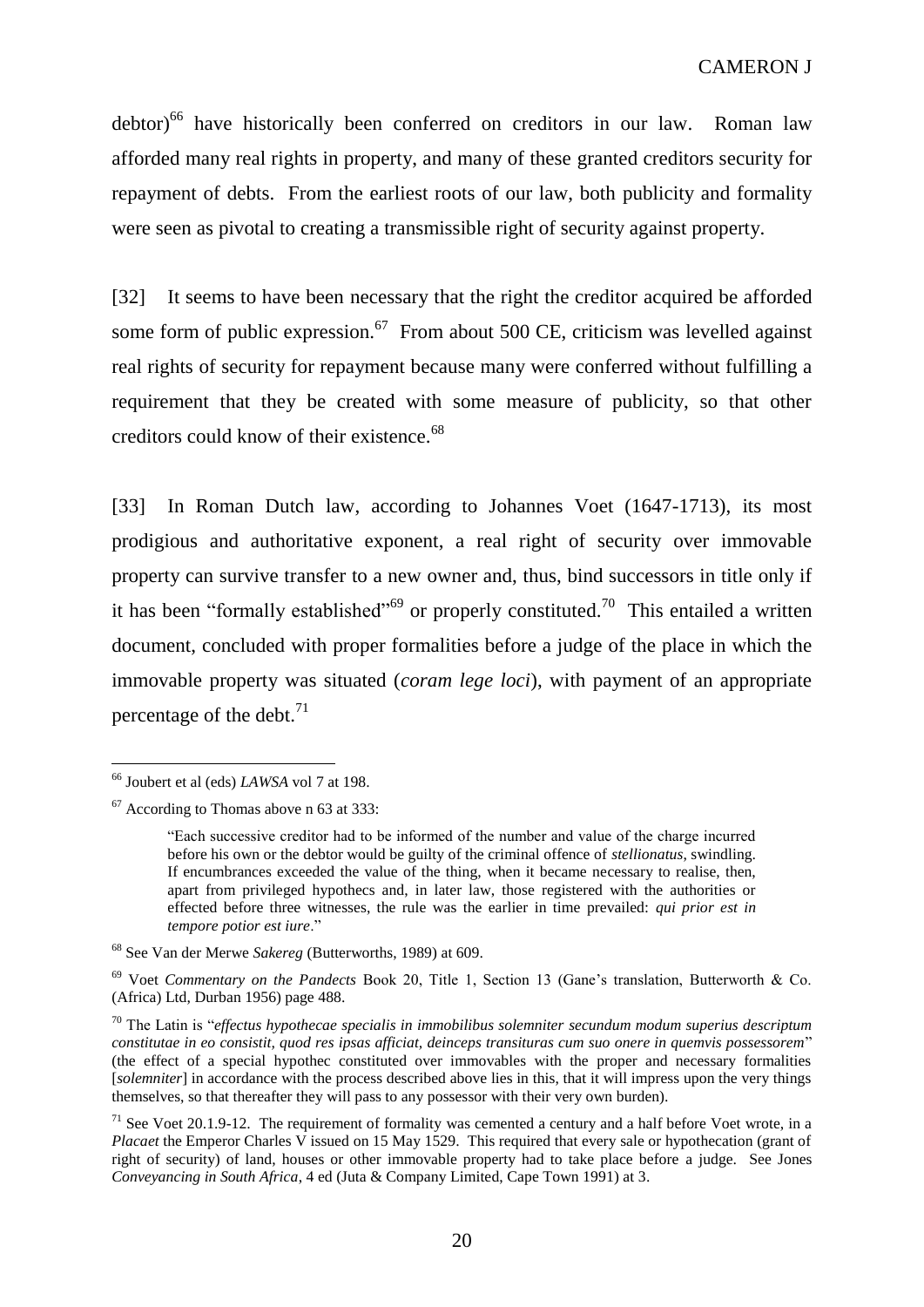debtor)<sup>66</sup> have historically been conferred on creditors in our law. Roman law afforded many real rights in property, and many of these granted creditors security for repayment of debts. From the earliest roots of our law, both publicity and formality were seen as pivotal to creating a transmissible right of security against property.

[32] It seems to have been necessary that the right the creditor acquired be afforded some form of public expression.<sup>67</sup> From about 500 CE, criticism was levelled against real rights of security for repayment because many were conferred without fulfilling a requirement that they be created with some measure of publicity, so that other creditors could know of their existence. $68$ 

[33] In Roman Dutch law, according to Johannes Voet (1647-1713), its most prodigious and authoritative exponent, a real right of security over immovable property can survive transfer to a new owner and, thus, bind successors in title only if it has been "formally established"<sup>69</sup> or properly constituted.<sup>70</sup> This entailed a written document, concluded with proper formalities before a judge of the place in which the immovable property was situated (*coram lege loci*), with payment of an appropriate percentage of the debt. $^{71}$ 

<sup>66</sup> Joubert et al (eds) *LAWSA* vol 7 at 198.

 $67$  According to Thomas above n 63 at 333:

<sup>&</sup>quot;Each successive creditor had to be informed of the number and value of the charge incurred before his own or the debtor would be guilty of the criminal offence of *stellionatus*, swindling. If encumbrances exceeded the value of the thing, when it became necessary to realise, then, apart from privileged hypothecs and, in later law, those registered with the authorities or effected before three witnesses, the rule was the earlier in time prevailed: *qui prior est in tempore potior est iure*."

<sup>68</sup> See Van der Merwe *Sakereg* (Butterworths, 1989) at 609.

<sup>69</sup> Voet *Commentary on the Pandects* Book 20, Title 1, Section 13 (Gane's translation, Butterworth & Co. (Africa) Ltd, Durban 1956) page 488.

<sup>70</sup> The Latin is "*effectus hypothecae specialis in immobilibus solemniter secundum modum superius descriptum constitutae in eo consistit, quod res ipsas afficiat, deinceps transituras cum suo onere in quemvis possessorem*" (the effect of a special hypothec constituted over immovables with the proper and necessary formalities [*solemniter*] in accordance with the process described above lies in this, that it will impress upon the very things themselves, so that thereafter they will pass to any possessor with their very own burden).

 $71$  See Voet 20.1.9-12. The requirement of formality was cemented a century and a half before Voet wrote, in a *Placaet* the Emperor Charles V issued on 15 May 1529. This required that every sale or hypothecation (grant of right of security) of land, houses or other immovable property had to take place before a judge. See Jones *Conveyancing in South Africa*, 4 ed (Juta & Company Limited, Cape Town 1991) at 3.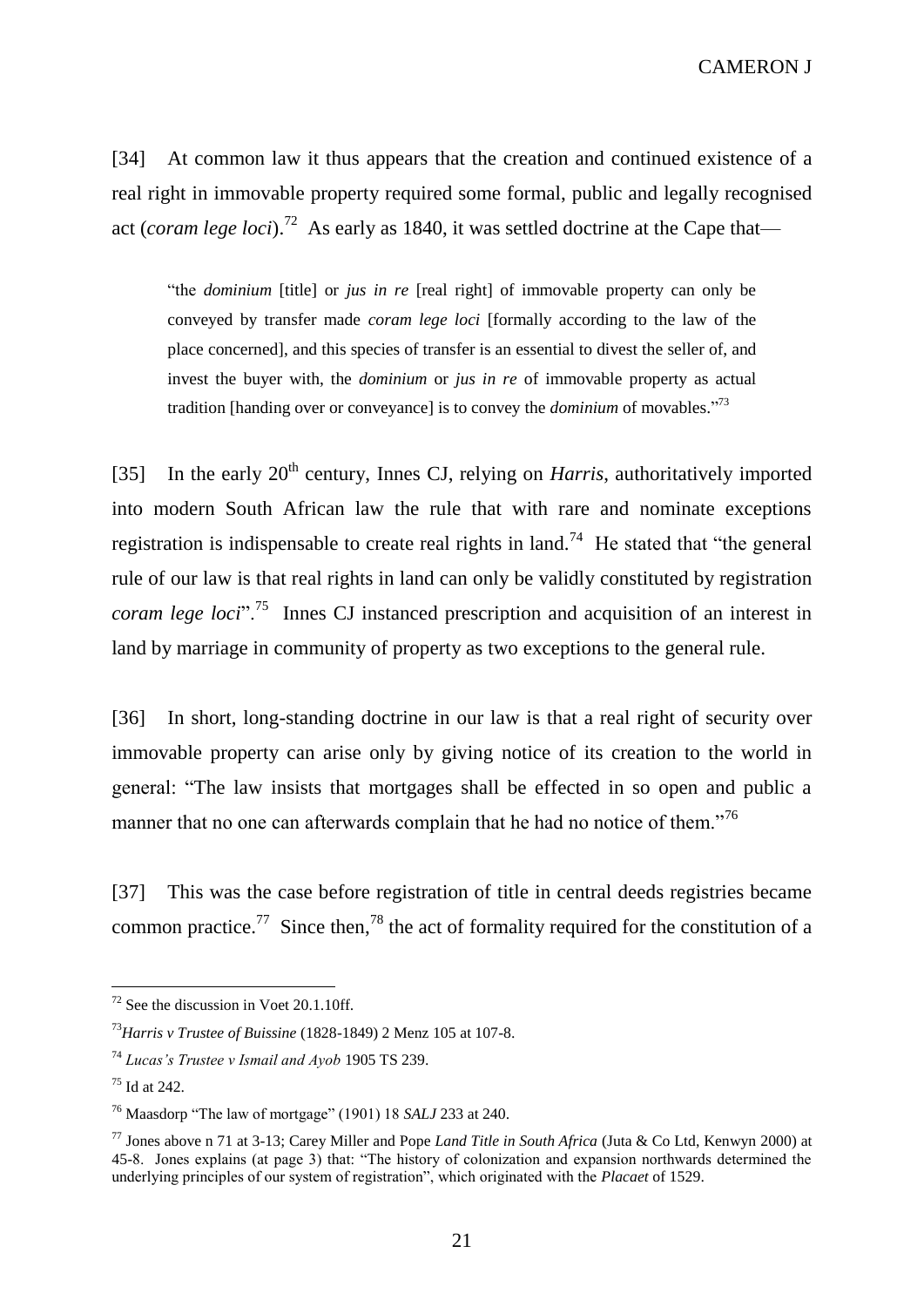[34] At common law it thus appears that the creation and continued existence of a real right in immovable property required some formal, public and legally recognised act (*coram lege loci*).<sup>72</sup> As early as 1840, it was settled doctrine at the Cape that—

"the *dominium* [title] or *jus in re* [real right] of immovable property can only be conveyed by transfer made *coram lege loci* [formally according to the law of the place concerned], and this species of transfer is an essential to divest the seller of, and invest the buyer with, the *dominium* or *jus in re* of immovable property as actual tradition [handing over or conveyance] is to convey the *dominium* of movables." 73

[35] In the early  $20<sup>th</sup>$  century, Innes CJ, relying on *Harris*, authoritatively imported into modern South African law the rule that with rare and nominate exceptions registration is indispensable to create real rights in land.<sup>74</sup> He stated that "the general rule of our law is that real rights in land can only be validly constituted by registration *coram lege loci*".<sup>75</sup> Innes CJ instanced prescription and acquisition of an interest in land by marriage in community of property as two exceptions to the general rule.

[36] In short, long-standing doctrine in our law is that a real right of security over immovable property can arise only by giving notice of its creation to the world in general: "The law insists that mortgages shall be effected in so open and public a manner that no one can afterwards complain that he had no notice of them."<sup>76</sup>

[37] This was the case before registration of title in central deeds registries became common practice.<sup>77</sup> Since then,<sup>78</sup> the act of formality required for the constitution of a

 $72$  See the discussion in Voet 20.1.10ff.

<sup>73</sup>*Harris v Trustee of Buissine* (1828-1849) 2 Menz 105 at 107-8.

<sup>74</sup> *Lucas's Trustee v Ismail and Ayob* 1905 TS 239.

<sup>75</sup> Id at 242.

<sup>76</sup> Maasdorp "The law of mortgage" (1901) 18 *SALJ* 233 at 240.

<sup>77</sup> Jones above n 71 at 3-13; Carey Miller and Pope *Land Title in South Africa* (Juta & Co Ltd, Kenwyn 2000) at 45-8. Jones explains (at page 3) that: "The history of colonization and expansion northwards determined the underlying principles of our system of registration", which originated with the *Placaet* of 1529.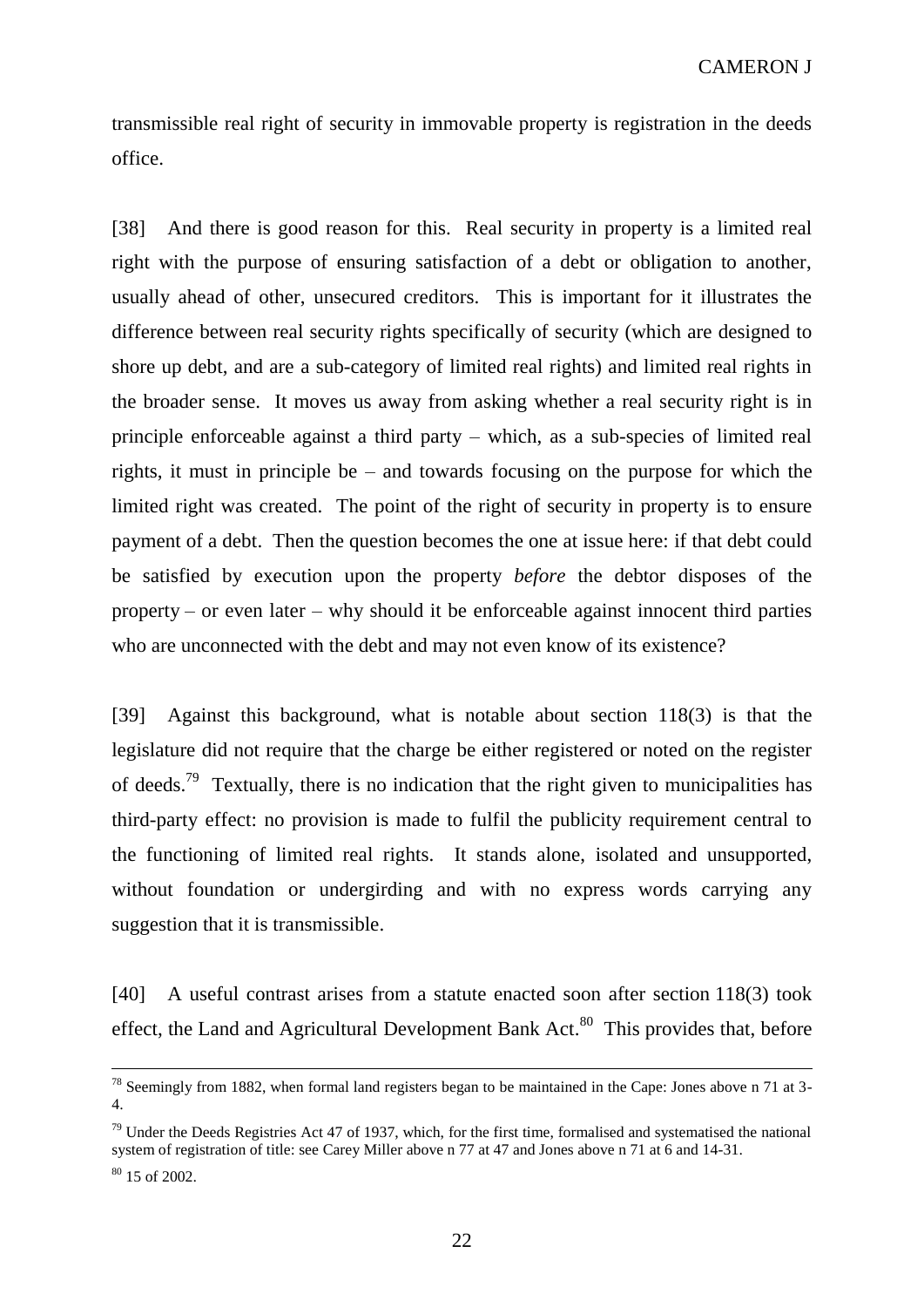transmissible real right of security in immovable property is registration in the deeds office.

[38] And there is good reason for this. Real security in property is a limited real right with the purpose of ensuring satisfaction of a debt or obligation to another, usually ahead of other, unsecured creditors. This is important for it illustrates the difference between real security rights specifically of security (which are designed to shore up debt, and are a sub-category of limited real rights) and limited real rights in the broader sense. It moves us away from asking whether a real security right is in principle enforceable against a third party – which, as a sub-species of limited real rights, it must in principle be – and towards focusing on the purpose for which the limited right was created. The point of the right of security in property is to ensure payment of a debt. Then the question becomes the one at issue here: if that debt could be satisfied by execution upon the property *before* the debtor disposes of the property – or even later – why should it be enforceable against innocent third parties who are unconnected with the debt and may not even know of its existence?

[39] Against this background, what is notable about section 118(3) is that the legislature did not require that the charge be either registered or noted on the register of deeds.<sup>79</sup> Textually, there is no indication that the right given to municipalities has third-party effect: no provision is made to fulfil the publicity requirement central to the functioning of limited real rights. It stands alone, isolated and unsupported, without foundation or undergirding and with no express words carrying any suggestion that it is transmissible.

[40] A useful contrast arises from a statute enacted soon after section 118(3) took effect, the Land and Agricultural Development Bank Act. $80$  This provides that, before

 $78$  Seemingly from 1882, when formal land registers began to be maintained in the Cape: Jones above n 71 at 3-4.

 $79$  Under the Deeds Registries Act 47 of 1937, which, for the first time, formalised and systematised the national system of registration of title: see Carey Miller above n 77 at 47 and Jones above n 71 at 6 and 14-31.

 $80$  15 of 2002.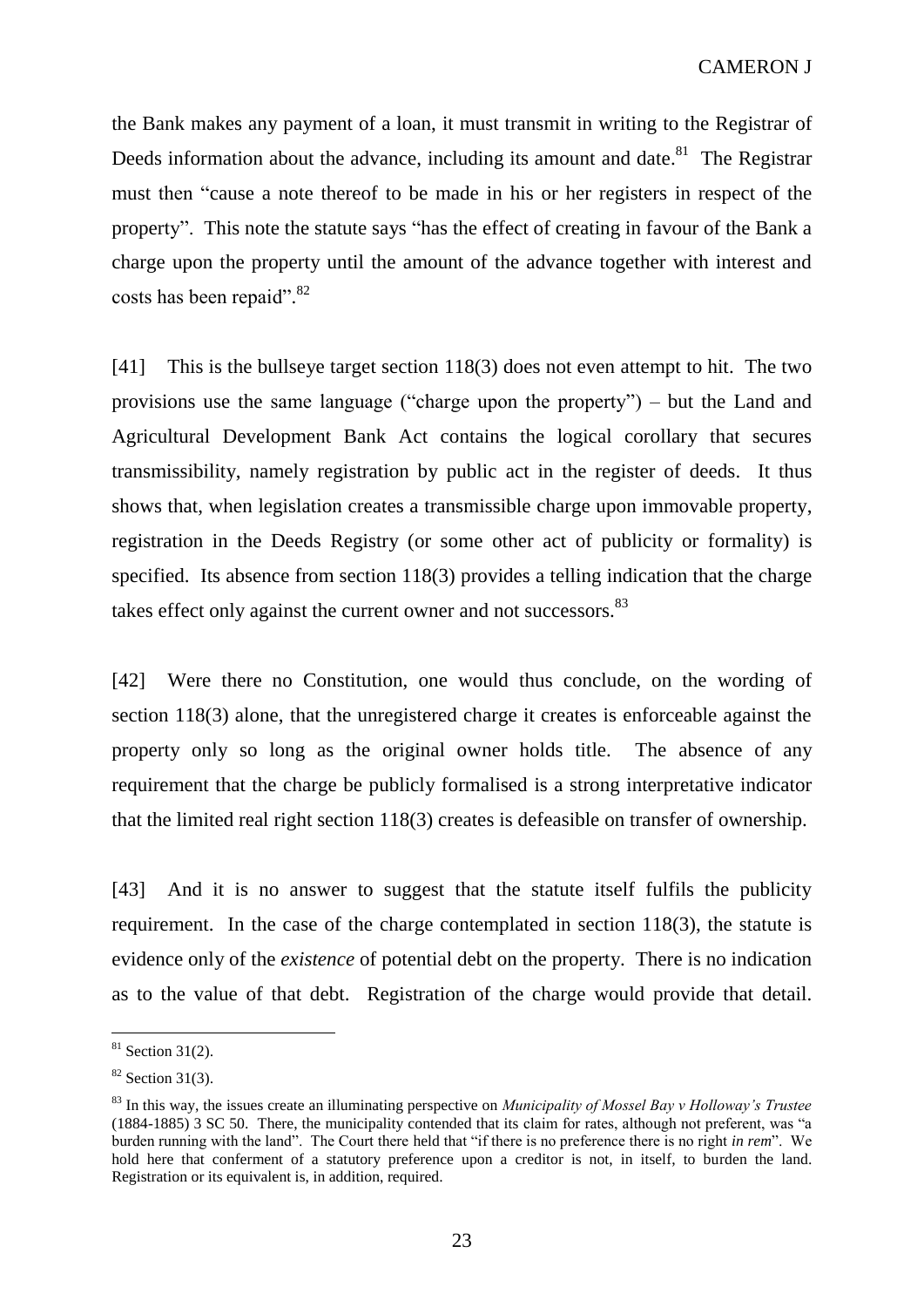the Bank makes any payment of a loan, it must transmit in writing to the Registrar of Deeds information about the advance, including its amount and date.<sup>81</sup> The Registrar must then "cause a note thereof to be made in his or her registers in respect of the property". This note the statute says "has the effect of creating in favour of the Bank a charge upon the property until the amount of the advance together with interest and costs has been repaid".<sup>82</sup>

[41] This is the bullseye target section 118(3) does not even attempt to hit. The two provisions use the same language ("charge upon the property") – but the Land and Agricultural Development Bank Act contains the logical corollary that secures transmissibility, namely registration by public act in the register of deeds. It thus shows that, when legislation creates a transmissible charge upon immovable property, registration in the Deeds Registry (or some other act of publicity or formality) is specified. Its absence from section 118(3) provides a telling indication that the charge takes effect only against the current owner and not successors.<sup>83</sup>

[42] Were there no Constitution, one would thus conclude, on the wording of section 118(3) alone, that the unregistered charge it creates is enforceable against the property only so long as the original owner holds title. The absence of any requirement that the charge be publicly formalised is a strong interpretative indicator that the limited real right section 118(3) creates is defeasible on transfer of ownership.

[43] And it is no answer to suggest that the statute itself fulfils the publicity requirement. In the case of the charge contemplated in section 118(3), the statute is evidence only of the *existence* of potential debt on the property. There is no indication as to the value of that debt. Registration of the charge would provide that detail.

 $81$  Section 31(2).

 $82$  Section 31(3).

<sup>83</sup> In this way, the issues create an illuminating perspective on *Municipality of Mossel Bay v Holloway's Trustee* (1884-1885) 3 SC 50. There, the municipality contended that its claim for rates, although not preferent, was "a burden running with the land". The Court there held that "if there is no preference there is no right *in rem*". We hold here that conferment of a statutory preference upon a creditor is not, in itself, to burden the land. Registration or its equivalent is, in addition, required.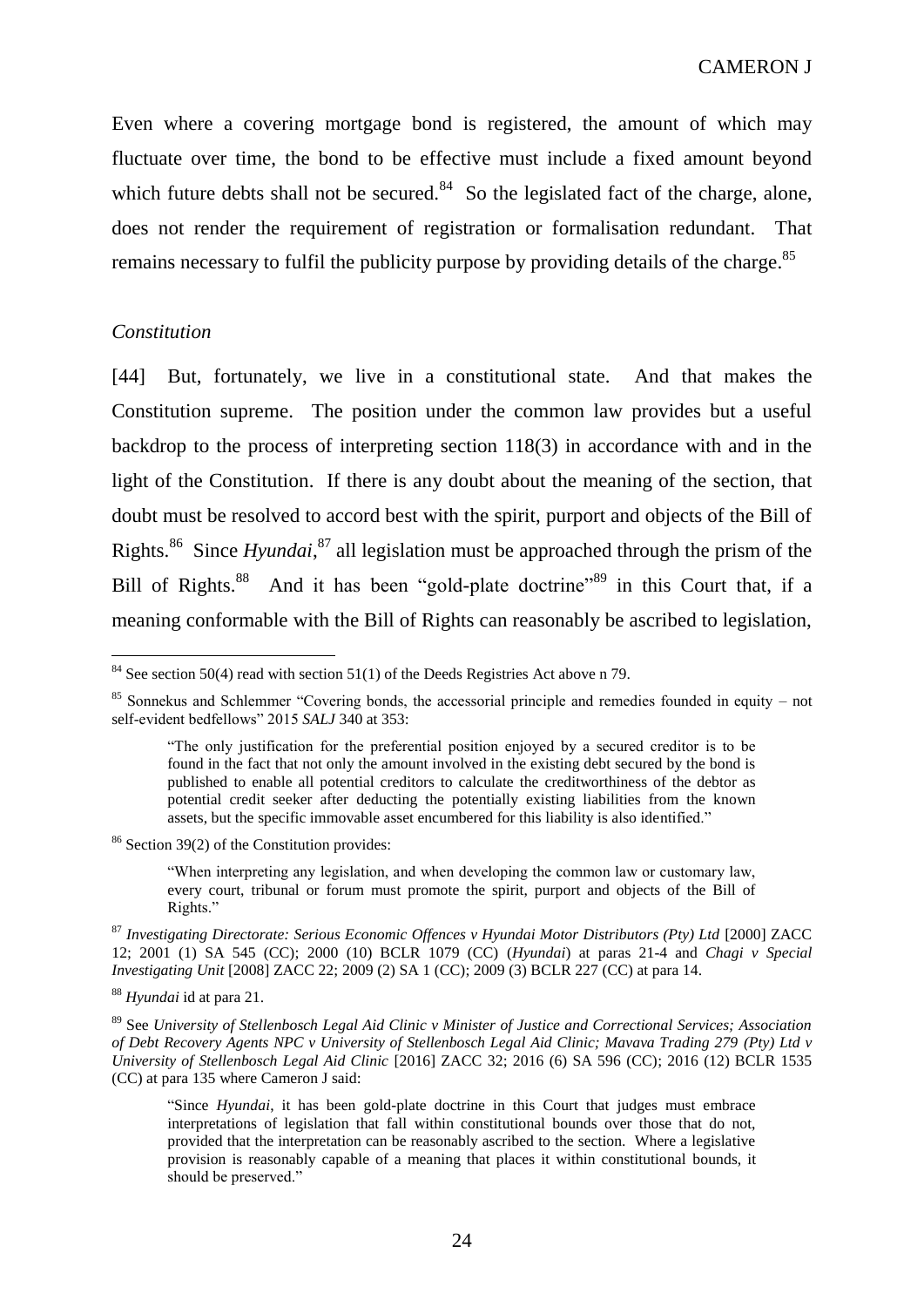Even where a covering mortgage bond is registered, the amount of which may fluctuate over time, the bond to be effective must include a fixed amount beyond which future debts shall not be secured. $84$  So the legislated fact of the charge, alone, does not render the requirement of registration or formalisation redundant. That remains necessary to fulfil the publicity purpose by providing details of the charge.<sup>85</sup>

### *Constitution*

 $\overline{a}$ 

[44] But, fortunately, we live in a constitutional state. And that makes the Constitution supreme. The position under the common law provides but a useful backdrop to the process of interpreting section 118(3) in accordance with and in the light of the Constitution. If there is any doubt about the meaning of the section, that doubt must be resolved to accord best with the spirit, purport and objects of the Bill of Rights.<sup>86</sup> Since *Hyundai*,<sup>87</sup> all legislation must be approached through the prism of the Bill of Rights.<sup>88</sup> And it has been "gold-plate doctrine"<sup>89</sup> in this Court that, if a meaning conformable with the Bill of Rights can reasonably be ascribed to legislation,

<sup>86</sup> Section 39(2) of the Constitution provides:

"When interpreting any legislation, and when developing the common law or customary law, every court, tribunal or forum must promote the spirit, purport and objects of the Bill of Rights."

 $84$  See section 50(4) read with section 51(1) of the Deeds Registries Act above n 79.

<sup>&</sup>lt;sup>85</sup> Sonnekus and Schlemmer "Covering bonds, the accessorial principle and remedies founded in equity – not self-evident bedfellows" 2015 *SALJ* 340 at 353:

<sup>&</sup>quot;The only justification for the preferential position enjoyed by a secured creditor is to be found in the fact that not only the amount involved in the existing debt secured by the bond is published to enable all potential creditors to calculate the creditworthiness of the debtor as potential credit seeker after deducting the potentially existing liabilities from the known assets, but the specific immovable asset encumbered for this liability is also identified."

<sup>87</sup> *Investigating Directorate: Serious Economic Offences v Hyundai Motor Distributors (Pty) Ltd* [2000] ZACC 12; 2001 (1) SA 545 (CC); 2000 (10) BCLR 1079 (CC) (*Hyundai*) at paras 21-4 and *Chagi v Special Investigating Unit* [2008] ZACC 22; 2009 (2) SA 1 (CC); 2009 (3) BCLR 227 (CC) at para 14.

<sup>88</sup> *Hyundai* id at para 21.

<sup>89</sup> See *University of Stellenbosch Legal Aid Clinic v Minister of Justice and Correctional Services; Association of Debt Recovery Agents NPC v University of Stellenbosch Legal Aid Clinic; Mavava Trading 279 (Pty) Ltd v University of Stellenbosch Legal Aid Clinic* [2016] ZACC 32; 2016 (6) SA 596 (CC); 2016 (12) BCLR 1535 (CC) at para 135 where Cameron J said:

<sup>&</sup>quot;Since *Hyundai*, it has been gold-plate doctrine in this Court that judges must embrace interpretations of legislation that fall within constitutional bounds over those that do not, provided that the interpretation can be reasonably ascribed to the section. Where a legislative provision is reasonably capable of a meaning that places it within constitutional bounds, it should be preserved."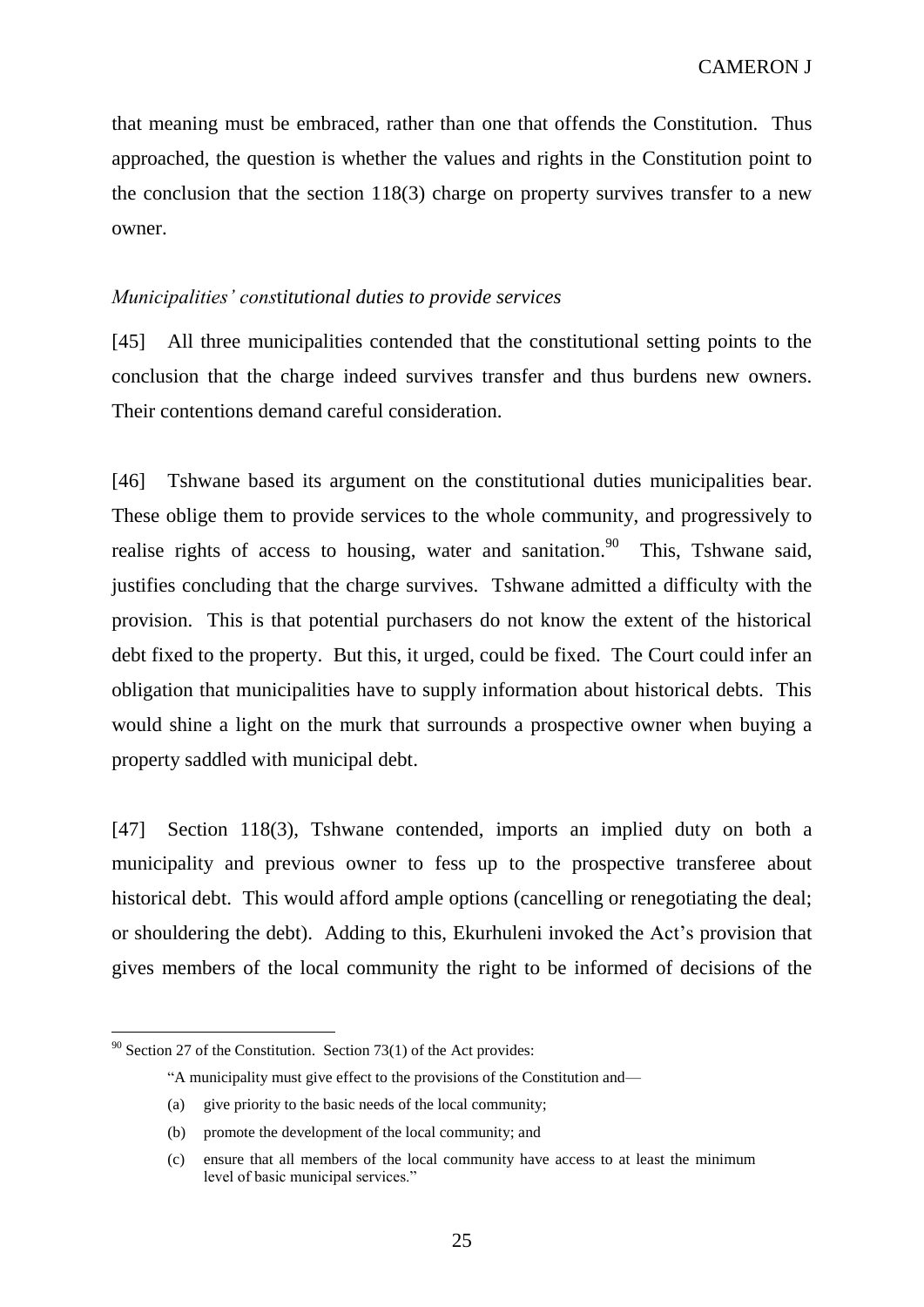that meaning must be embraced, rather than one that offends the Constitution. Thus approached, the question is whether the values and rights in the Constitution point to the conclusion that the section 118(3) charge on property survives transfer to a new owner.

### *Municipalities' cons*t*itutional duties to provide services*

[45] All three municipalities contended that the constitutional setting points to the conclusion that the charge indeed survives transfer and thus burdens new owners. Their contentions demand careful consideration.

[46] Tshwane based its argument on the constitutional duties municipalities bear. These oblige them to provide services to the whole community, and progressively to realise rights of access to housing, water and sanitation.<sup>90</sup> This, Tshwane said, justifies concluding that the charge survives. Tshwane admitted a difficulty with the provision. This is that potential purchasers do not know the extent of the historical debt fixed to the property. But this, it urged, could be fixed. The Court could infer an obligation that municipalities have to supply information about historical debts. This would shine a light on the murk that surrounds a prospective owner when buying a property saddled with municipal debt.

[47] Section 118(3), Tshwane contended, imports an implied duty on both a municipality and previous owner to fess up to the prospective transferee about historical debt. This would afford ample options (cancelling or renegotiating the deal; or shouldering the debt). Adding to this, Ekurhuleni invoked the Act's provision that gives members of the local community the right to be informed of decisions of the

 $90$  Section 27 of the Constitution. Section 73(1) of the Act provides:

<sup>&</sup>quot;A municipality must give effect to the provisions of the Constitution and—

<sup>(</sup>a) give priority to the basic needs of the local community;

<sup>(</sup>b) promote the development of the local community; and

<sup>(</sup>c) ensure that all members of the local community have access to at least the minimum level of basic municipal services."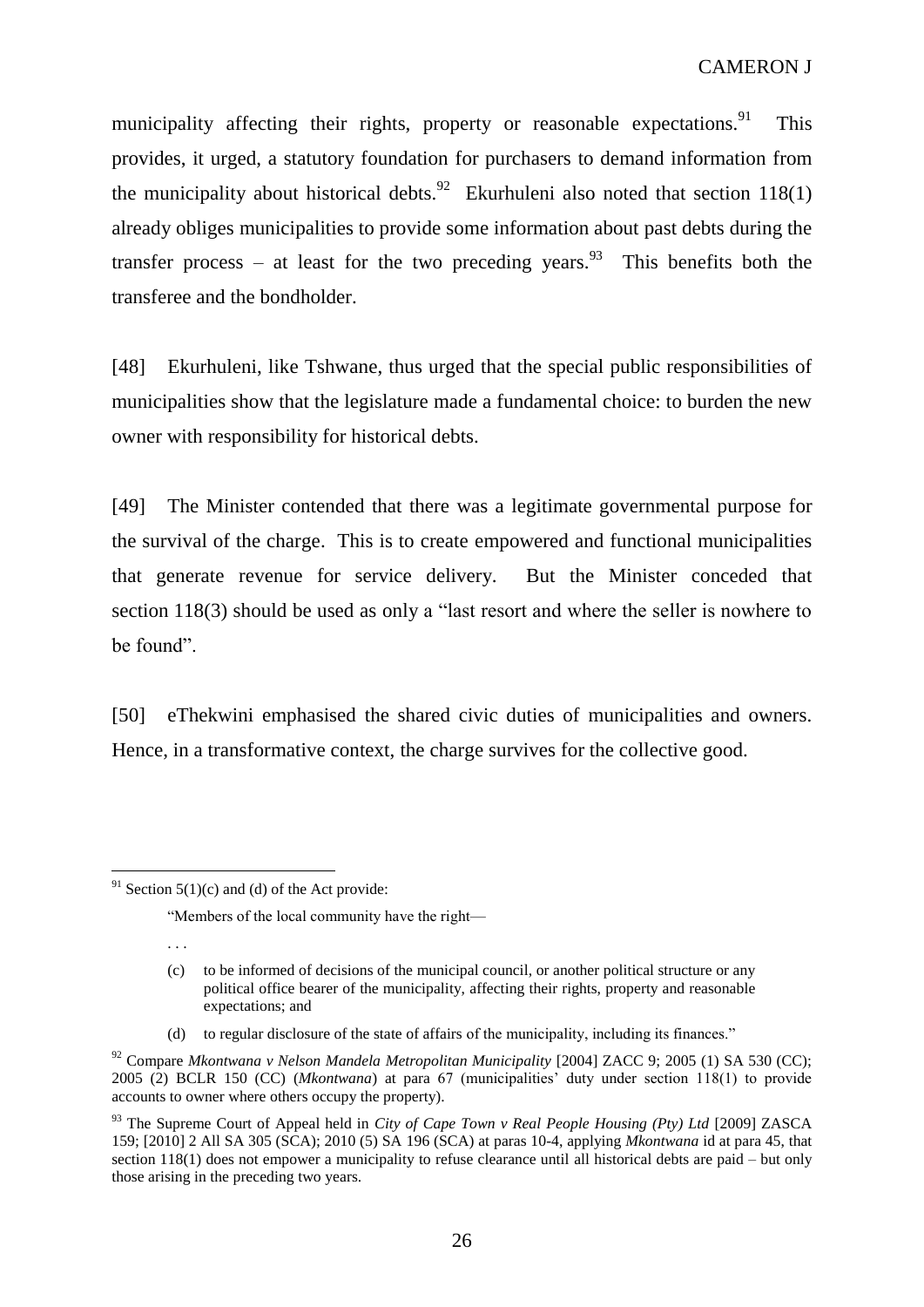municipality affecting their rights, property or reasonable expectations.<sup>91</sup> This provides, it urged, a statutory foundation for purchasers to demand information from the municipality about historical debts.<sup>92</sup> Ekurhuleni also noted that section  $118(1)$ already obliges municipalities to provide some information about past debts during the transfer process – at least for the two preceding years.<sup>93</sup> This benefits both the transferee and the bondholder.

[48] Ekurhuleni, like Tshwane, thus urged that the special public responsibilities of municipalities show that the legislature made a fundamental choice: to burden the new owner with responsibility for historical debts.

[49] The Minister contended that there was a legitimate governmental purpose for the survival of the charge. This is to create empowered and functional municipalities that generate revenue for service delivery. But the Minister conceded that section 118(3) should be used as only a "last resort and where the seller is nowhere to be found".

[50] eThekwini emphasised the shared civic duties of municipalities and owners. Hence, in a transformative context, the charge survives for the collective good.

"Members of the local community have the right—

(d) to regular disclosure of the state of affairs of the municipality, including its finances."

 $\overline{a}$  $91$  Section 5(1)(c) and (d) of the Act provide:

<sup>. . .</sup>

<sup>(</sup>c) to be informed of decisions of the municipal council, or another political structure or any political office bearer of the municipality, affecting their rights, property and reasonable expectations; and

<sup>92</sup> Compare *Mkontwana v Nelson Mandela Metropolitan Municipality* [2004] ZACC 9; 2005 (1) SA 530 (CC); 2005 (2) BCLR 150 (CC) (*Mkontwana*) at para 67 (municipalities' duty under section 118(1) to provide accounts to owner where others occupy the property).

<sup>93</sup> The Supreme Court of Appeal held in *City of Cape Town v Real People Housing (Pty) Ltd* [2009] ZASCA 159; [2010] 2 All SA 305 (SCA); 2010 (5) SA 196 (SCA) at paras 10-4, applying *Mkontwana* id at para 45, that section 118(1) does not empower a municipality to refuse clearance until all historical debts are paid – but only those arising in the preceding two years.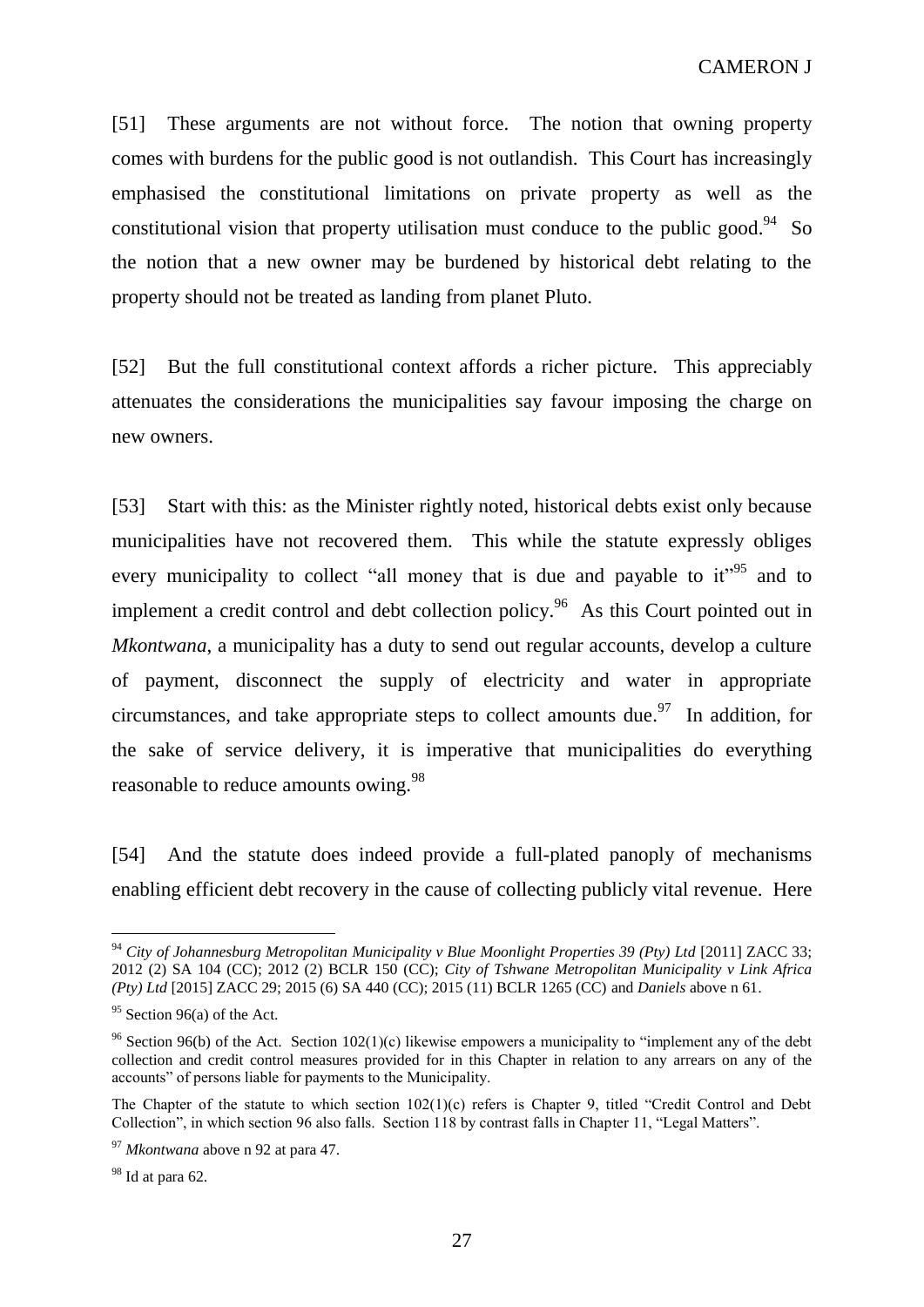[51] These arguments are not without force. The notion that owning property comes with burdens for the public good is not outlandish. This Court has increasingly emphasised the constitutional limitations on private property as well as the constitutional vision that property utilisation must conduce to the public good.<sup>94</sup> So the notion that a new owner may be burdened by historical debt relating to the property should not be treated as landing from planet Pluto.

[52] But the full constitutional context affords a richer picture. This appreciably attenuates the considerations the municipalities say favour imposing the charge on new owners.

[53] Start with this: as the Minister rightly noted, historical debts exist only because municipalities have not recovered them. This while the statute expressly obliges every municipality to collect "all money that is due and payable to  $it^{95}$  and to implement a credit control and debt collection policy.<sup>96</sup> As this Court pointed out in *Mkontwana*, a municipality has a duty to send out regular accounts, develop a culture of payment, disconnect the supply of electricity and water in appropriate circumstances, and take appropriate steps to collect amounts due.<sup>97</sup> In addition, for the sake of service delivery, it is imperative that municipalities do everything reasonable to reduce amounts owing.<sup>98</sup>

[54] And the statute does indeed provide a full-plated panoply of mechanisms enabling efficient debt recovery in the cause of collecting publicly vital revenue. Here

<sup>94</sup> *City of Johannesburg Metropolitan Municipality v Blue Moonlight Properties 39 (Pty) Ltd* [2011] ZACC 33; 2012 (2) SA 104 (CC); 2012 (2) BCLR 150 (CC); *City of Tshwane Metropolitan Municipality v Link Africa (Pty) Ltd* [2015] ZACC 29; 2015 (6) SA 440 (CC); 2015 (11) BCLR 1265 (CC) and *Daniels* above n 61.

 $95$  Section 96(a) of the Act.

<sup>&</sup>lt;sup>96</sup> Section 96(b) of the Act. Section 102(1)(c) likewise empowers a municipality to "implement any of the debt collection and credit control measures provided for in this Chapter in relation to any arrears on any of the accounts" of persons liable for payments to the Municipality.

The Chapter of the statute to which section  $102(1)(c)$  refers is Chapter 9, titled "Credit Control and Debt Collection", in which section 96 also falls. Section 118 by contrast falls in Chapter 11, "Legal Matters".

<sup>97</sup> *Mkontwana* above n 92 at para 47.

 $98$  Id at para 62.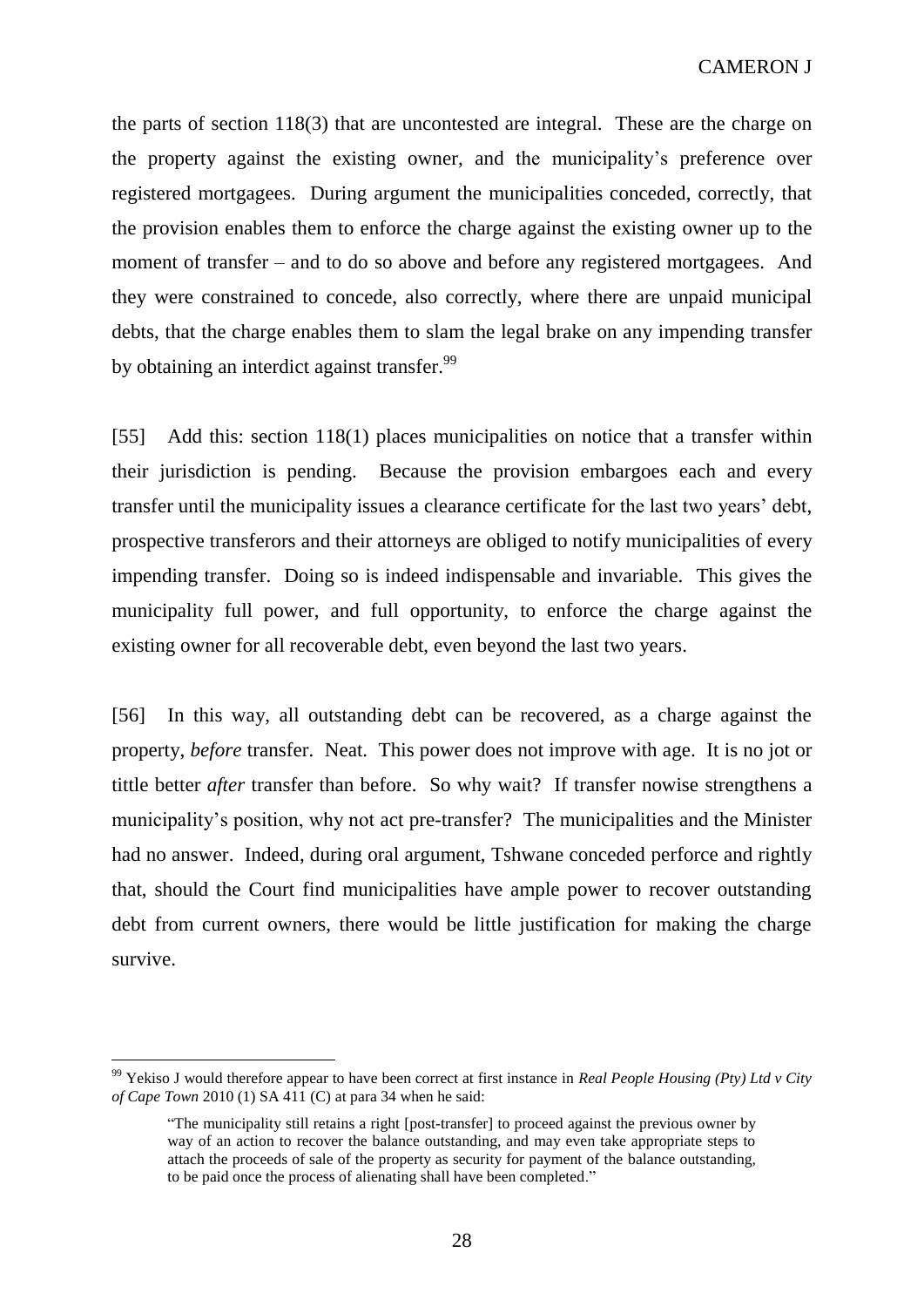the parts of section 118(3) that are uncontested are integral. These are the charge on the property against the existing owner, and the municipality's preference over registered mortgagees. During argument the municipalities conceded, correctly, that the provision enables them to enforce the charge against the existing owner up to the moment of transfer – and to do so above and before any registered mortgagees. And they were constrained to concede, also correctly, where there are unpaid municipal debts, that the charge enables them to slam the legal brake on any impending transfer by obtaining an interdict against transfer.<sup>99</sup>

[55] Add this: section 118(1) places municipalities on notice that a transfer within their jurisdiction is pending. Because the provision embargoes each and every transfer until the municipality issues a clearance certificate for the last two years' debt, prospective transferors and their attorneys are obliged to notify municipalities of every impending transfer. Doing so is indeed indispensable and invariable. This gives the municipality full power, and full opportunity, to enforce the charge against the existing owner for all recoverable debt, even beyond the last two years.

[56] In this way, all outstanding debt can be recovered, as a charge against the property, *before* transfer. Neat. This power does not improve with age. It is no jot or tittle better *after* transfer than before. So why wait? If transfer nowise strengthens a municipality's position, why not act pre-transfer? The municipalities and the Minister had no answer. Indeed, during oral argument, Tshwane conceded perforce and rightly that, should the Court find municipalities have ample power to recover outstanding debt from current owners, there would be little justification for making the charge survive.

<sup>99</sup> Yekiso J would therefore appear to have been correct at first instance in *Real People Housing (Pty) Ltd v City of Cape Town* 2010 (1) SA 411 (C) at para 34 when he said:

<sup>&</sup>quot;The municipality still retains a right [post-transfer] to proceed against the previous owner by way of an action to recover the balance outstanding, and may even take appropriate steps to attach the proceeds of sale of the property as security for payment of the balance outstanding, to be paid once the process of alienating shall have been completed."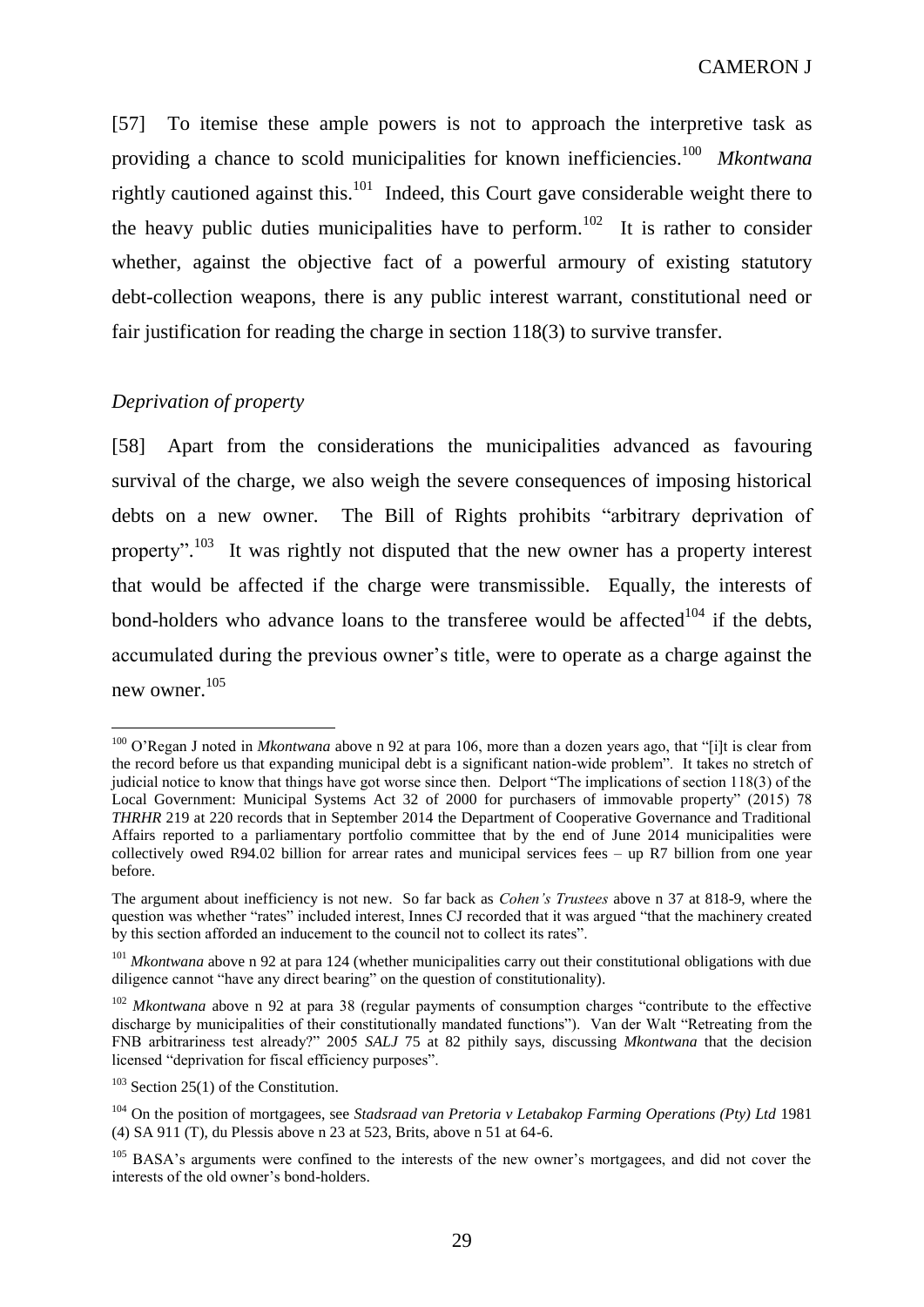[57] To itemise these ample powers is not to approach the interpretive task as providing a chance to scold municipalities for known inefficiencies. 100 *Mkontwana* rightly cautioned against this.<sup>101</sup> Indeed, this Court gave considerable weight there to the heavy public duties municipalities have to perform.<sup>102</sup> It is rather to consider whether, against the objective fact of a powerful armoury of existing statutory debt-collection weapons, there is any public interest warrant, constitutional need or fair justification for reading the charge in section 118(3) to survive transfer.

# *Deprivation of property*

 $\overline{a}$ 

[58] Apart from the considerations the municipalities advanced as favouring survival of the charge, we also weigh the severe consequences of imposing historical debts on a new owner. The Bill of Rights prohibits "arbitrary deprivation of property".<sup>103</sup> It was rightly not disputed that the new owner has a property interest that would be affected if the charge were transmissible. Equally, the interests of bond-holders who advance loans to the transferee would be affected<sup>104</sup> if the debts, accumulated during the previous owner's title, were to operate as a charge against the new owner. 105

<sup>&</sup>lt;sup>100</sup> O'Regan J noted in *Mkontwana* above n 92 at para 106, more than a dozen years ago, that "[i]t is clear from the record before us that expanding municipal debt is a significant nation-wide problem". It takes no stretch of judicial notice to know that things have got worse since then. Delport "The implications of section 118(3) of the Local Government: Municipal Systems Act 32 of 2000 for purchasers of immovable property" (2015) 78 *THRHR* 219 at 220 records that in September 2014 the Department of Cooperative Governance and Traditional Affairs reported to a parliamentary portfolio committee that by the end of June 2014 municipalities were collectively owed R94.02 billion for arrear rates and municipal services fees – up R7 billion from one year before.

The argument about inefficiency is not new. So far back as *Cohen's Trustees* above n 37 at 818-9, where the question was whether "rates" included interest, Innes CJ recorded that it was argued "that the machinery created by this section afforded an inducement to the council not to collect its rates".

<sup>&</sup>lt;sup>101</sup> *Mkontwana* above n 92 at para 124 (whether municipalities carry out their constitutional obligations with due diligence cannot "have any direct bearing" on the question of constitutionality).

<sup>&</sup>lt;sup>102</sup> *Mkontwana* above n 92 at para 38 (regular payments of consumption charges "contribute to the effective discharge by municipalities of their constitutionally mandated functions"). Van der Walt "Retreating from the FNB arbitrariness test already?" 2005 *SALJ* 75 at 82 pithily says, discussing *Mkontwana* that the decision licensed "deprivation for fiscal efficiency purposes".

 $103$  Section 25(1) of the Constitution.

<sup>104</sup> On the position of mortgagees, see *Stadsraad van Pretoria v Letabakop Farming Operations (Pty) Ltd* 1981 (4) SA 911 (T), du Plessis above n 23 at 523, Brits, above n 51 at 64-6.

<sup>&</sup>lt;sup>105</sup> BASA's arguments were confined to the interests of the new owner's mortgagees, and did not cover the interests of the old owner's bond-holders.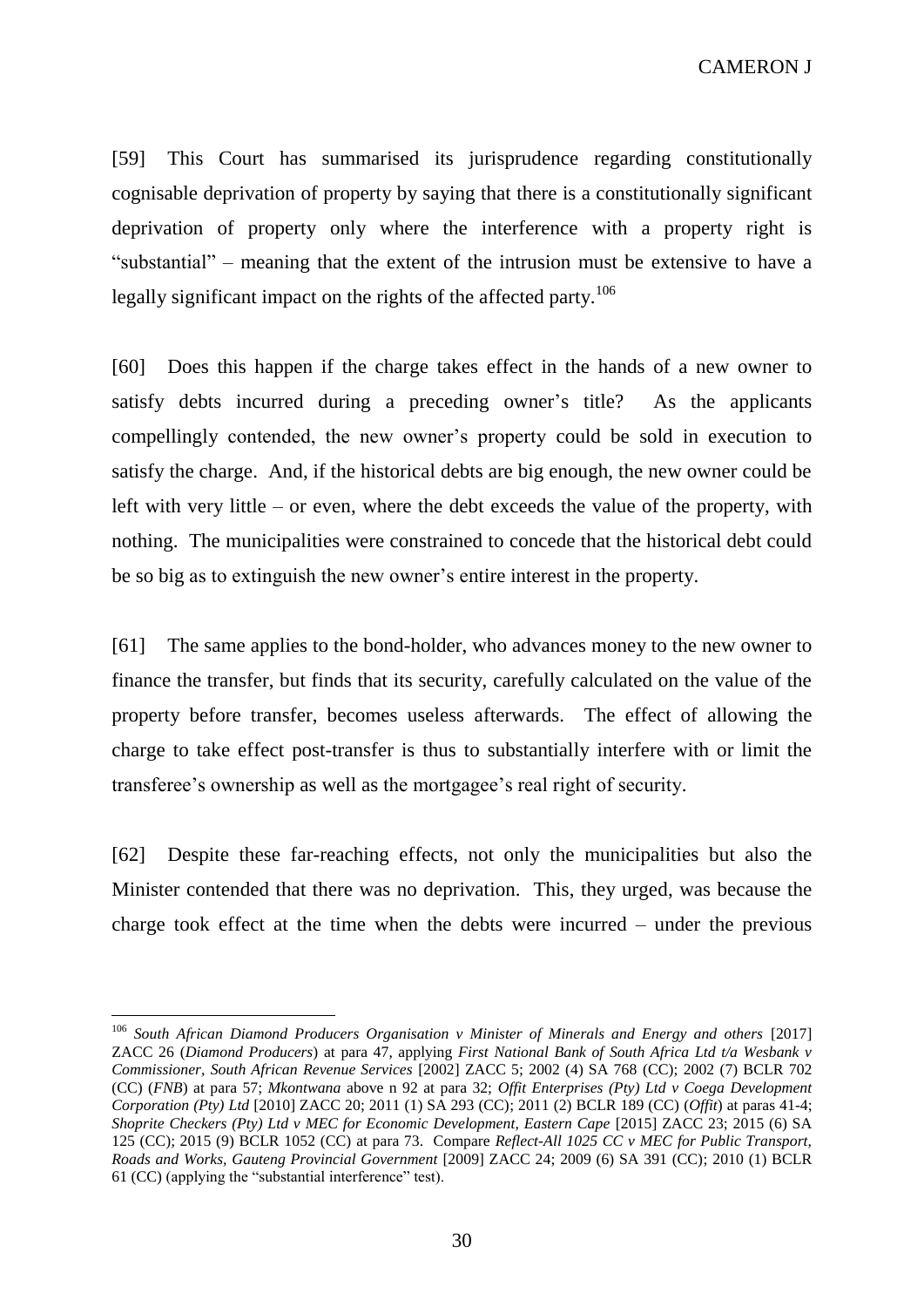[59] This Court has summarised its jurisprudence regarding constitutionally cognisable deprivation of property by saying that there is a constitutionally significant deprivation of property only where the interference with a property right is "substantial" – meaning that the extent of the intrusion must be extensive to have a legally significant impact on the rights of the affected party.<sup>106</sup>

[60] Does this happen if the charge takes effect in the hands of a new owner to satisfy debts incurred during a preceding owner's title? As the applicants compellingly contended, the new owner's property could be sold in execution to satisfy the charge. And, if the historical debts are big enough, the new owner could be left with very little – or even, where the debt exceeds the value of the property, with nothing. The municipalities were constrained to concede that the historical debt could be so big as to extinguish the new owner's entire interest in the property.

[61] The same applies to the bond-holder, who advances money to the new owner to finance the transfer, but finds that its security, carefully calculated on the value of the property before transfer, becomes useless afterwards. The effect of allowing the charge to take effect post-transfer is thus to substantially interfere with or limit the transferee's ownership as well as the mortgagee's real right of security.

[62] Despite these far-reaching effects, not only the municipalities but also the Minister contended that there was no deprivation. This, they urged, was because the charge took effect at the time when the debts were incurred – under the previous

<sup>106</sup> *South African Diamond Producers Organisation v Minister of Minerals and Energy and others* [2017] ZACC 26 (*Diamond Producers*) at para 47, applying *First National Bank of South Africa Ltd t/a Wesbank v Commissioner, South African Revenue Services* [2002] ZACC 5; 2002 (4) SA 768 (CC); 2002 (7) BCLR 702 (CC) (*FNB*) at para 57; *Mkontwana* above n 92 at para 32; *Offit Enterprises (Pty) Ltd v Coega Development Corporation (Pty) Ltd* [2010] ZACC 20; 2011 (1) SA 293 (CC); 2011 (2) BCLR 189 (CC) (*Offit*) at paras 41-4; *Shoprite Checkers (Pty) Ltd v MEC for Economic Development, Eastern Cape [2015] ZACC 23; 2015 (6) SA* 125 (CC); 2015 (9) BCLR 1052 (CC) at para 73. Compare *Reflect-All 1025 CC v MEC for Public Transport, Roads and Works, Gauteng Provincial Government* [2009] ZACC 24; 2009 (6) SA 391 (CC); 2010 (1) BCLR 61 (CC) (applying the "substantial interference" test).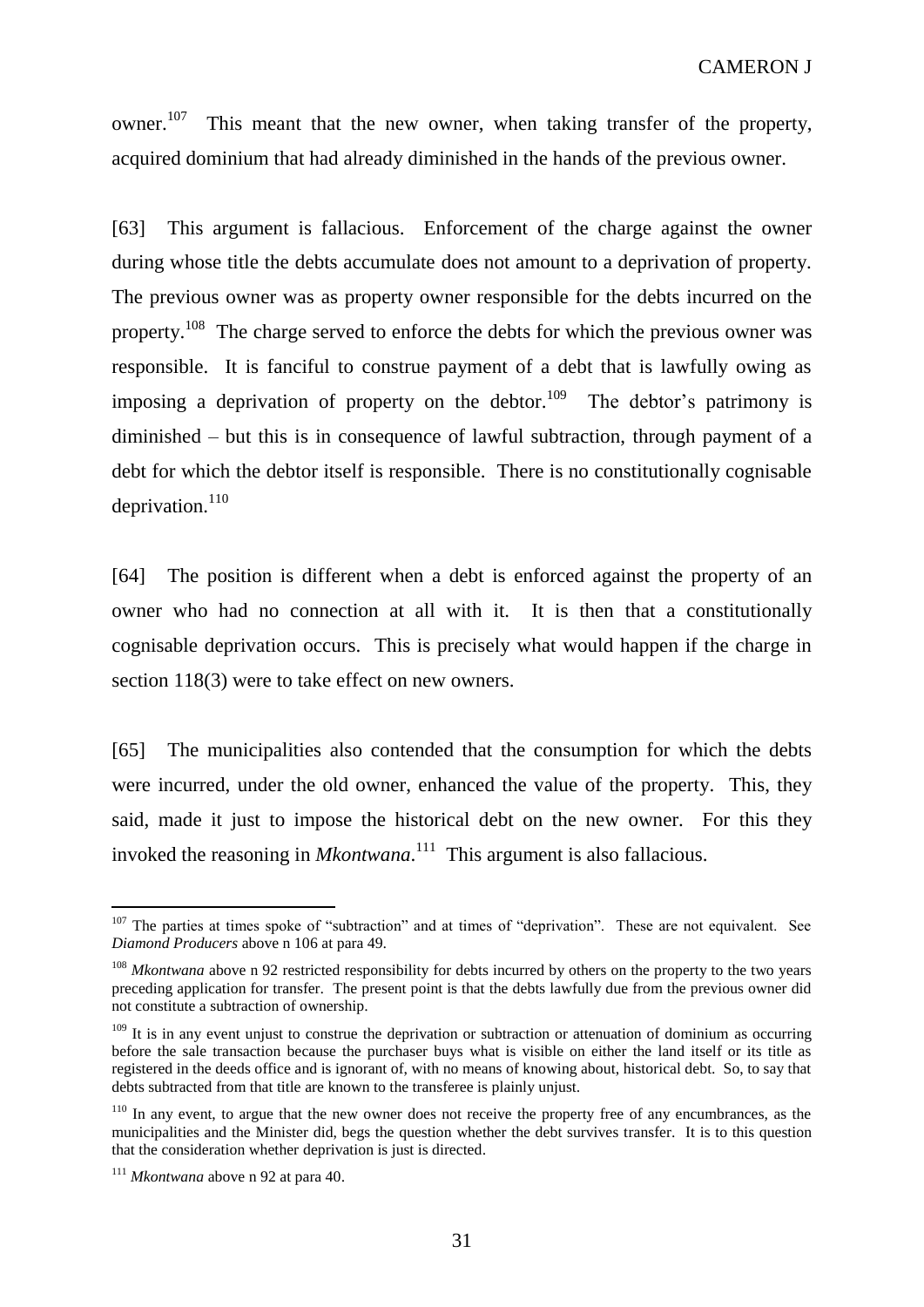owner.<sup>107</sup> This meant that the new owner, when taking transfer of the property, acquired dominium that had already diminished in the hands of the previous owner.

[63] This argument is fallacious. Enforcement of the charge against the owner during whose title the debts accumulate does not amount to a deprivation of property. The previous owner was as property owner responsible for the debts incurred on the property.<sup>108</sup> The charge served to enforce the debts for which the previous owner was responsible. It is fanciful to construe payment of a debt that is lawfully owing as imposing a deprivation of property on the debtor.<sup>109</sup> The debtor's patrimony is diminished – but this is in consequence of lawful subtraction, through payment of a debt for which the debtor itself is responsible. There is no constitutionally cognisable deprivation.<sup>110</sup>

[64] The position is different when a debt is enforced against the property of an owner who had no connection at all with it. It is then that a constitutionally cognisable deprivation occurs. This is precisely what would happen if the charge in section 118(3) were to take effect on new owners.

[65] The municipalities also contended that the consumption for which the debts were incurred, under the old owner, enhanced the value of the property. This, they said, made it just to impose the historical debt on the new owner. For this they invoked the reasoning in *Mkontwana*. 111 This argument is also fallacious.

<sup>&</sup>lt;sup>107</sup> The parties at times spoke of "subtraction" and at times of "deprivation". These are not equivalent. See *Diamond Producers* above n 106 at para 49.

<sup>&</sup>lt;sup>108</sup> *Mkontwana* above n 92 restricted responsibility for debts incurred by others on the property to the two years preceding application for transfer. The present point is that the debts lawfully due from the previous owner did not constitute a subtraction of ownership.

 $109$  It is in any event uniust to construe the deprivation or subtraction or attenuation of dominium as occurring before the sale transaction because the purchaser buys what is visible on either the land itself or its title as registered in the deeds office and is ignorant of, with no means of knowing about, historical debt. So, to say that debts subtracted from that title are known to the transferee is plainly unjust.

<sup>&</sup>lt;sup>110</sup> In any event, to argue that the new owner does not receive the property free of any encumbrances, as the municipalities and the Minister did, begs the question whether the debt survives transfer. It is to this question that the consideration whether deprivation is just is directed.

<sup>111</sup> *Mkontwana* above n 92 at para 40.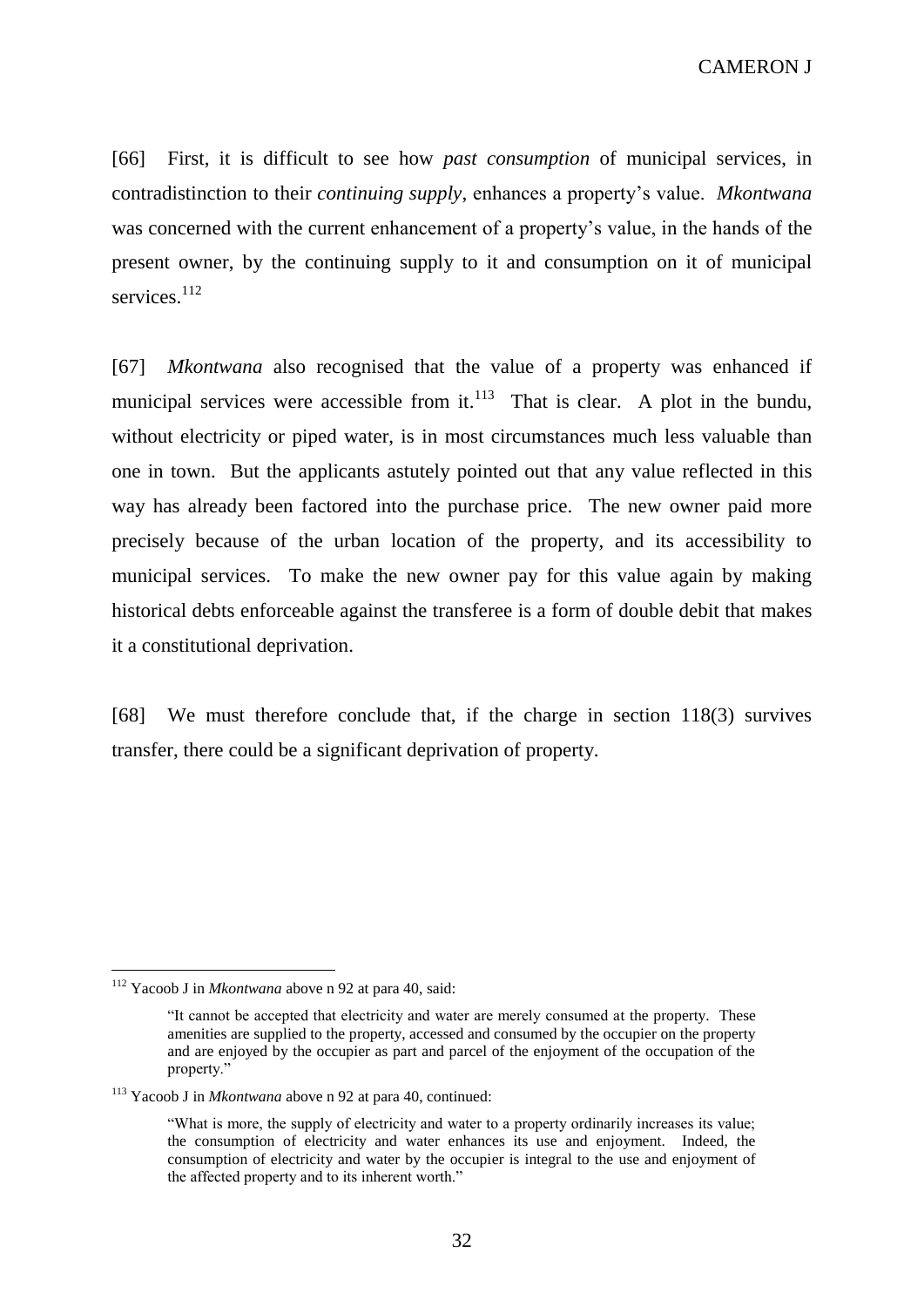[66] First, it is difficult to see how *past consumption* of municipal services, in contradistinction to their *continuing supply*, enhances a property's value. *Mkontwana*  was concerned with the current enhancement of a property's value, in the hands of the present owner, by the continuing supply to it and consumption on it of municipal services.<sup>112</sup>

[67] *Mkontwana* also recognised that the value of a property was enhanced if municipal services were accessible from it. $113$  That is clear. A plot in the bundu, without electricity or piped water, is in most circumstances much less valuable than one in town. But the applicants astutely pointed out that any value reflected in this way has already been factored into the purchase price. The new owner paid more precisely because of the urban location of the property, and its accessibility to municipal services. To make the new owner pay for this value again by making historical debts enforceable against the transferee is a form of double debit that makes it a constitutional deprivation.

[68] We must therefore conclude that, if the charge in section 118(3) survives transfer, there could be a significant deprivation of property.

<sup>112</sup> Yacoob J in *Mkontwana* above n 92 at para 40, said:

<sup>&</sup>quot;It cannot be accepted that electricity and water are merely consumed at the property. These amenities are supplied to the property, accessed and consumed by the occupier on the property and are enjoyed by the occupier as part and parcel of the enjoyment of the occupation of the property."

<sup>113</sup> Yacoob J in *Mkontwana* above n 92 at para 40, continued:

<sup>&</sup>quot;What is more, the supply of electricity and water to a property ordinarily increases its value; the consumption of electricity and water enhances its use and enjoyment. Indeed, the consumption of electricity and water by the occupier is integral to the use and enjoyment of the affected property and to its inherent worth."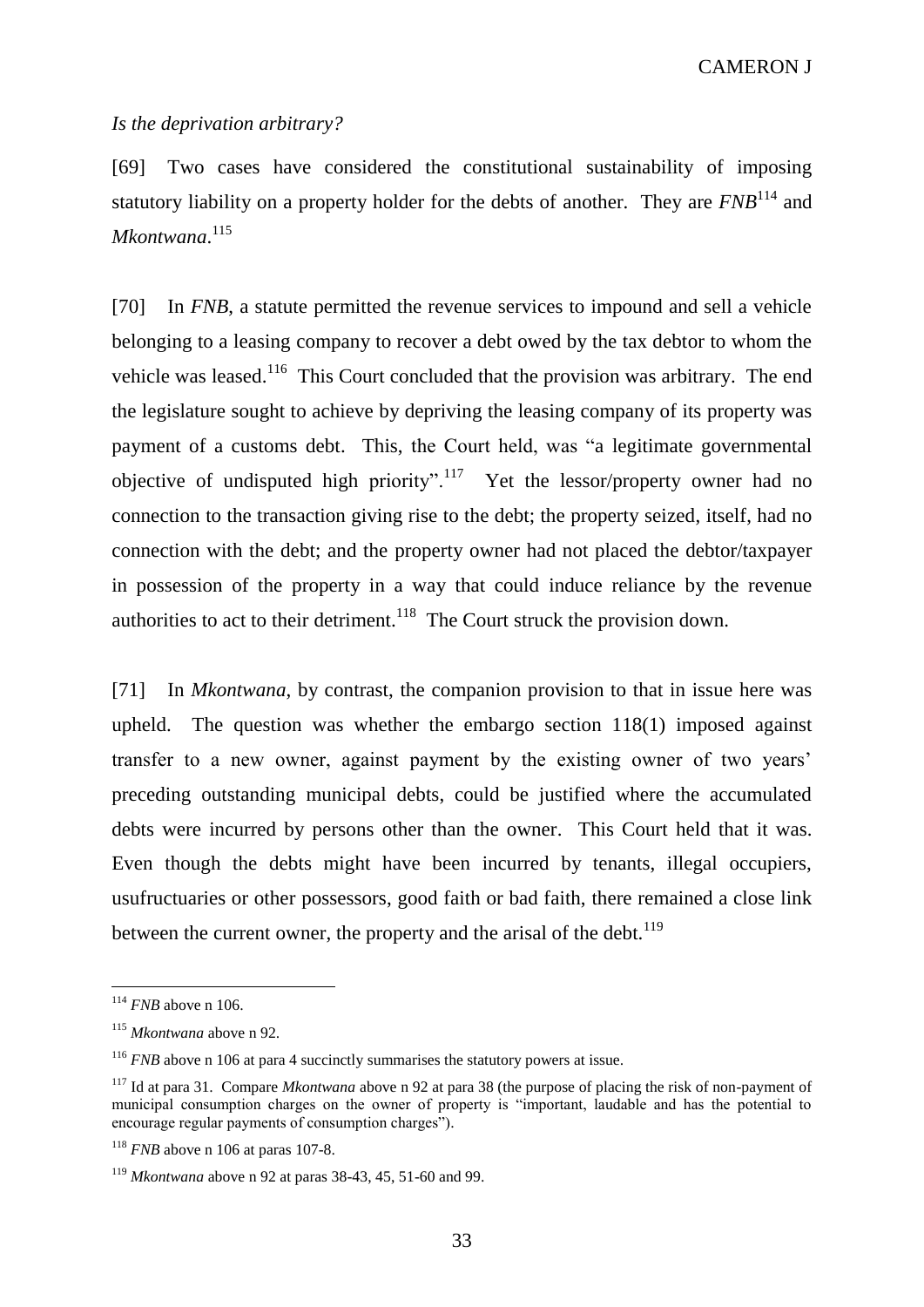#### *Is the deprivation arbitrary?*

[69] Two cases have considered the constitutional sustainability of imposing statutory liability on a property holder for the debts of another. They are *FNB*<sup>114</sup> and *Mkontwana*. 115

[70] In *FNB*, a statute permitted the revenue services to impound and sell a vehicle belonging to a leasing company to recover a debt owed by the tax debtor to whom the vehicle was leased.<sup>116</sup> This Court concluded that the provision was arbitrary. The end the legislature sought to achieve by depriving the leasing company of its property was payment of a customs debt. This, the Court held, was "a legitimate governmental objective of undisputed high priority".<sup>117</sup> Yet the lessor/property owner had no connection to the transaction giving rise to the debt; the property seized, itself, had no connection with the debt; and the property owner had not placed the debtor/taxpayer in possession of the property in a way that could induce reliance by the revenue authorities to act to their detriment.<sup>118</sup> The Court struck the provision down.

[71] In *Mkontwana*, by contrast, the companion provision to that in issue here was upheld. The question was whether the embargo section 118(1) imposed against transfer to a new owner, against payment by the existing owner of two years' preceding outstanding municipal debts, could be justified where the accumulated debts were incurred by persons other than the owner. This Court held that it was. Even though the debts might have been incurred by tenants, illegal occupiers, usufructuaries or other possessors, good faith or bad faith, there remained a close link between the current owner, the property and the arisal of the debt. $119$ 

<sup>114</sup> *FNB* above n 106.

<sup>115</sup> *Mkontwana* above n 92.

<sup>&</sup>lt;sup>116</sup> *FNB* above n 106 at para 4 succinctly summarises the statutory powers at issue.

<sup>117</sup> Id at para 31. Compare *Mkontwana* above n 92 at para 38 (the purpose of placing the risk of non-payment of municipal consumption charges on the owner of property is "important, laudable and has the potential to encourage regular payments of consumption charges").

<sup>&</sup>lt;sup>118</sup> *FNB* above n 106 at paras 107-8.

<sup>119</sup> *Mkontwana* above n 92 at paras 38-43, 45, 51-60 and 99.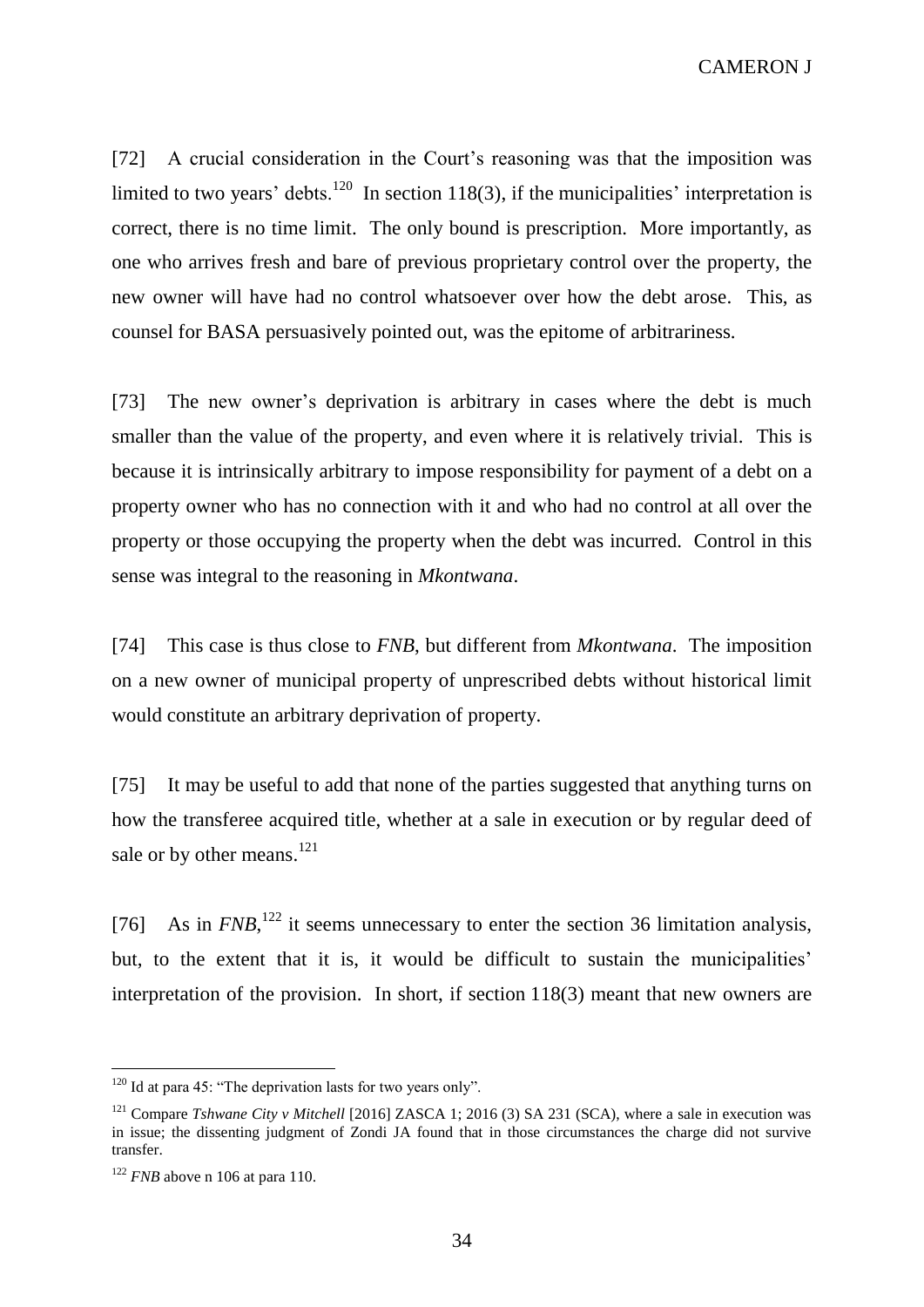[72] A crucial consideration in the Court's reasoning was that the imposition was limited to two years' debts.<sup>120</sup> In section 118(3), if the municipalities' interpretation is correct, there is no time limit. The only bound is prescription. More importantly, as one who arrives fresh and bare of previous proprietary control over the property, the new owner will have had no control whatsoever over how the debt arose. This, as counsel for BASA persuasively pointed out, was the epitome of arbitrariness.

[73] The new owner's deprivation is arbitrary in cases where the debt is much smaller than the value of the property, and even where it is relatively trivial. This is because it is intrinsically arbitrary to impose responsibility for payment of a debt on a property owner who has no connection with it and who had no control at all over the property or those occupying the property when the debt was incurred. Control in this sense was integral to the reasoning in *Mkontwana*.

[74] This case is thus close to *FNB*, but different from *Mkontwana*. The imposition on a new owner of municipal property of unprescribed debts without historical limit would constitute an arbitrary deprivation of property.

[75] It may be useful to add that none of the parties suggested that anything turns on how the transferee acquired title, whether at a sale in execution or by regular deed of sale or by other means.<sup>121</sup>

[76] As in  $FNB$ ,<sup>122</sup> it seems unnecessary to enter the section 36 limitation analysis, but, to the extent that it is, it would be difficult to sustain the municipalities' interpretation of the provision. In short, if section 118(3) meant that new owners are

 $120$  Id at para 45: "The deprivation lasts for two years only".

<sup>&</sup>lt;sup>121</sup> Compare *Tshwane City v Mitchell* [2016] ZASCA 1; 2016 (3) SA 231 (SCA), where a sale in execution was in issue; the dissenting judgment of Zondi JA found that in those circumstances the charge did not survive transfer.

<sup>&</sup>lt;sup>122</sup> *FNB* above n 106 at para 110.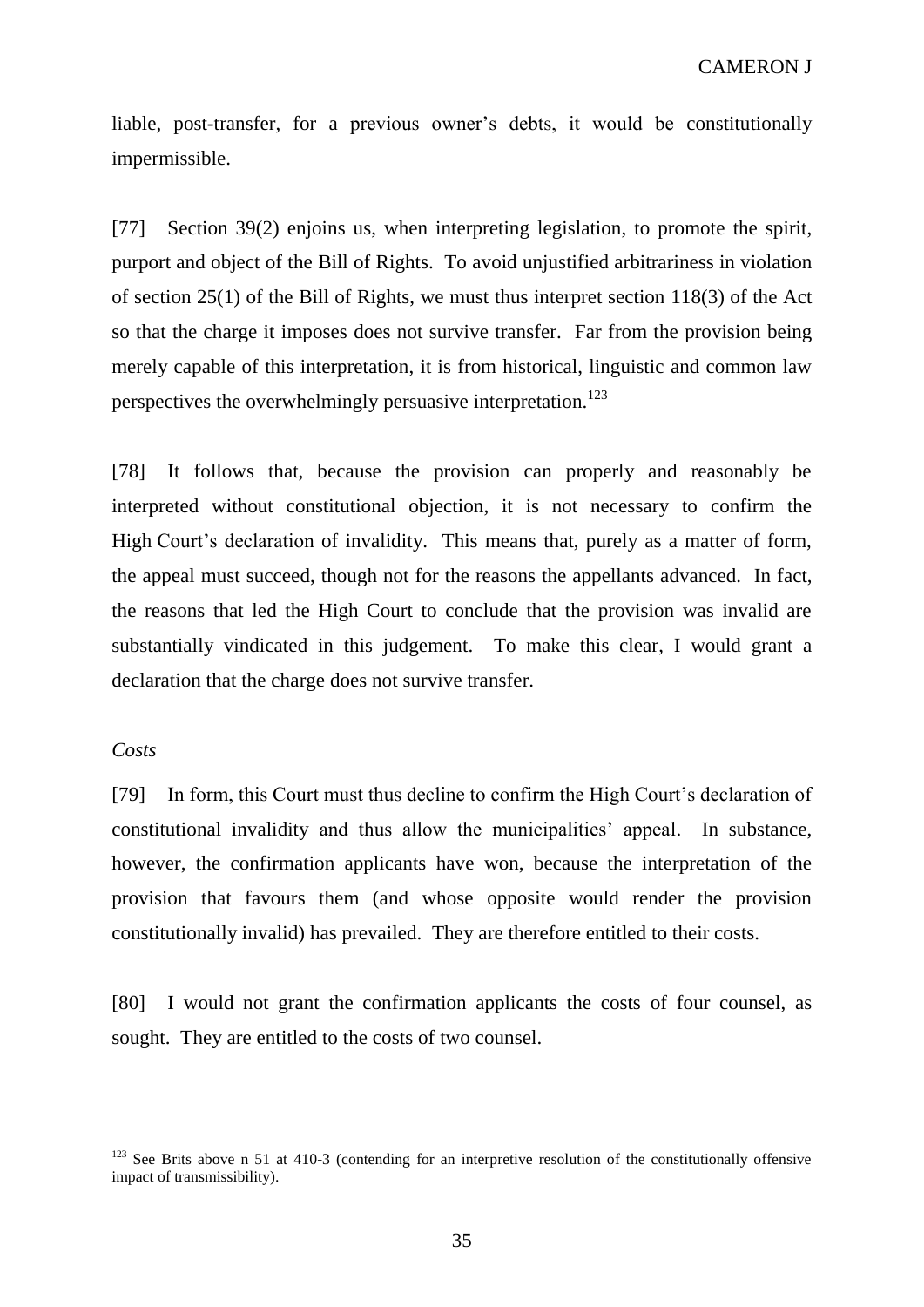liable, post-transfer, for a previous owner's debts, it would be constitutionally impermissible.

[77] Section 39(2) enjoins us, when interpreting legislation, to promote the spirit, purport and object of the Bill of Rights. To avoid unjustified arbitrariness in violation of section 25(1) of the Bill of Rights, we must thus interpret section 118(3) of the Act so that the charge it imposes does not survive transfer. Far from the provision being merely capable of this interpretation, it is from historical, linguistic and common law perspectives the overwhelmingly persuasive interpretation.<sup>123</sup>

[78] It follows that, because the provision can properly and reasonably be interpreted without constitutional objection, it is not necessary to confirm the High Court's declaration of invalidity. This means that, purely as a matter of form, the appeal must succeed, though not for the reasons the appellants advanced. In fact, the reasons that led the High Court to conclude that the provision was invalid are substantially vindicated in this judgement. To make this clear, I would grant a declaration that the charge does not survive transfer.

### *Costs*

 $\overline{a}$ 

[79] In form, this Court must thus decline to confirm the High Court's declaration of constitutional invalidity and thus allow the municipalities' appeal. In substance, however, the confirmation applicants have won, because the interpretation of the provision that favours them (and whose opposite would render the provision constitutionally invalid) has prevailed. They are therefore entitled to their costs.

[80] I would not grant the confirmation applicants the costs of four counsel, as sought. They are entitled to the costs of two counsel.

<sup>&</sup>lt;sup>123</sup> See Brits above n 51 at 410-3 (contending for an interpretive resolution of the constitutionally offensive impact of transmissibility).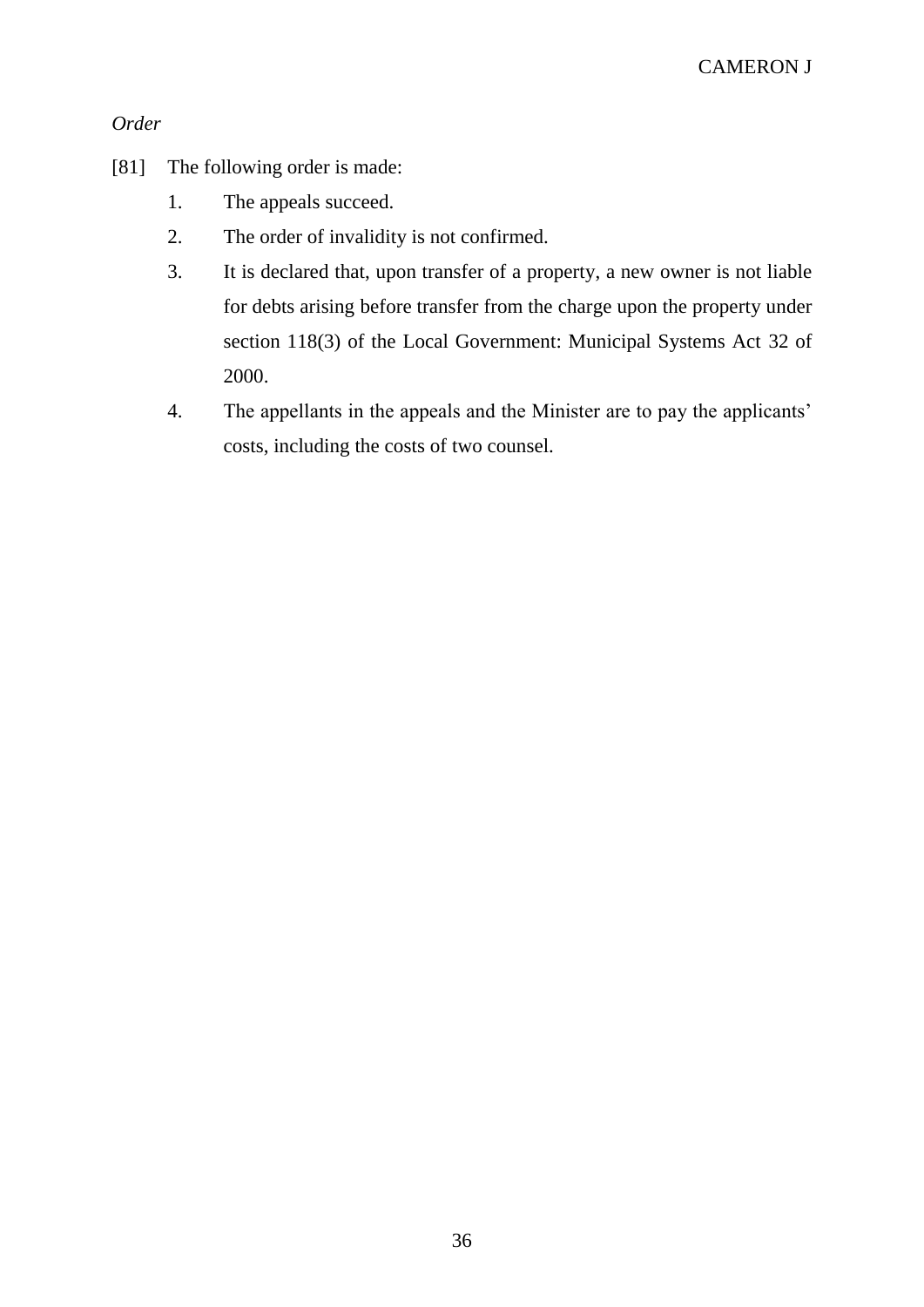# *Order*

- [81] The following order is made:
	- 1. The appeals succeed.
	- 2. The order of invalidity is not confirmed.
	- 3. It is declared that, upon transfer of a property, a new owner is not liable for debts arising before transfer from the charge upon the property under section 118(3) of the Local Government: Municipal Systems Act 32 of 2000.
	- 4. The appellants in the appeals and the Minister are to pay the applicants' costs, including the costs of two counsel.